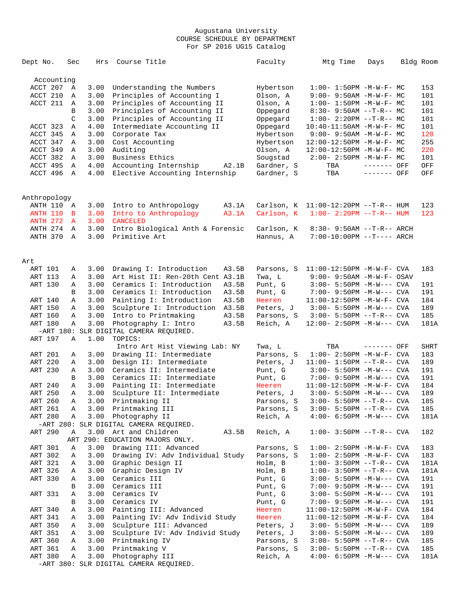| Dept No.                 | Sec          | Hrs  | Course Title                                                      | Faculty                 | Mtg Time                         | Days        | Bldg Room   |
|--------------------------|--------------|------|-------------------------------------------------------------------|-------------------------|----------------------------------|-------------|-------------|
| Accounting               |              |      |                                                                   |                         |                                  |             |             |
| ACCT 207                 | Α            | 3.00 | Understanding the Numbers                                         | Hybertson               | $1:00 - 1:50PM - M - W - F - MC$ |             | 153         |
| ACCT 210                 | Α            | 3.00 | Principles of Accounting I                                        | Olson, A                | $9:00 - 9:50AM - M - W - F - MC$ |             | 101         |
| ACCT 211                 | Α            | 3.00 | Principles of Accounting II                                       | Olson, A                | $1:00 - 1:50PM - M - W - F - MC$ |             | 101         |
|                          | B            | 3.00 | Principles of Accounting II                                       | Oppegard                | $8:30-9:50AM --T-R--MC$          |             | 101         |
|                          | C            | 3.00 | Principles of Accounting II                                       | Oppegard                | $1:00-2:20PM -T-R--MC$           |             | 101         |
| ACCT 323                 | Α            | 4.00 | Intermediate Accounting II                                        | Oppegard                | $10:40-11:50AM$ -M-W-F- MC       |             | 101         |
| ACCT 345                 | Α            | 3.00 | Corporate Tax                                                     | Hybertson               | $9:00 - 9:50AM - M - W - F - MC$ |             | 120         |
| ACCT 347                 | Α            | 3.00 | Cost Accounting                                                   | Hybertson               | 12:00-12:50PM -M-W-F- MC         |             | 255         |
| ACCT 349                 | Α            | 3.00 | Auditing                                                          | Olson, A                | 12:00-12:50PM -M-W-F- MC         |             | 220         |
| ACCT 382                 | A            | 3.00 | Business Ethics                                                   | Sougstad                | $2:00-2:50PM -M-W-F-MC$          |             | 101         |
| ACCT 495                 | Α            | 4.00 | Accounting Internship<br>A2.1B                                    | Gardner, S              | TBA                              | ------- OFF | OFF         |
| ACCT 496                 | $\mathbb A$  | 4.00 | Elective Accounting Internship                                    | Gardner, S              | TBA                              | ------- OFF | OFF         |
|                          |              |      |                                                                   |                         |                                  |             |             |
| Anthropology<br>ANTH 110 | Α            | 3.00 | Intro to Anthropology<br>A3.1A                                    | Carlson, K              | $11:00-12:20PM -T-R--HUM$        |             | 123         |
| <b>ANTH 110</b>          | в            | 3.00 | Intro to Anthropology<br>A3.1A                                    | Carlson, K              | $1:00 - 2:20PM -T-R--HUM$        |             | 123         |
| <b>ANTH 272</b>          | $\mathbf{A}$ | 3.00 | <b>CANCELED</b>                                                   |                         |                                  |             |             |
| ANTH 274                 | A            | 3.00 | Intro Biological Anth & Forensic                                  |                         |                                  |             |             |
| ANTH 370                 | A            | 3.00 | Primitive Art                                                     | Carlson, K<br>Hannus, A | $8:30 - 9:50AM -T-R-- ARCH$      |             |             |
|                          |              |      |                                                                   |                         | 7:00-10:00PM --T---- ARCH        |             |             |
| Art                      |              |      |                                                                   |                         |                                  |             |             |
| ART 101                  | Α            | 3.00 | Drawing I: Introduction<br>A3.5B                                  | Parsons, S              | $11:00-12:50PM -M-W-F-CVA$       |             | 183         |
| ART 113                  | Α            | 3.00 | Art Hist II: Ren-20th Cent A3.1B                                  | Twa, L                  | $9:00 - 9:50$ AM $-M-W-F-$ OSAV  |             |             |
| ART 130                  | Α            | 3.00 | Ceramics I: Introduction<br>A3.5B                                 | Punt, G                 | $3:00 - 5:50PM -M-W---$ CVA      |             | 191         |
|                          | B            | 3.00 | Ceramics I: Introduction<br>A3.5B                                 | Punt, G                 | $7:00 - 9:50PM -M-W---$ CVA      |             | 191         |
| ART 140                  | Α            | 3.00 | Painting I: Introduction<br>A3.5B                                 | Heeren                  | 11:00-12:50PM -M-W-F- CVA        |             | 184         |
| ART 150                  | Α            | 3.00 | Sculpture I: Introduction<br>A3.5B                                | Peters, J               | $3:00 - 5:50PM -M-W---$ CVA      |             | 189         |
| ART 160                  | Α            | 3.00 | Intro to Printmaking<br>A3.5B                                     | Parsons, S              | $3:00 - 5:50PM -T-R--CVA$        |             | 185         |
| ART 180                  | Α            | 3.00 | Photography I: Intro<br>A3.5B                                     | Reich, A                | $12:00 - 2:50PM -M-W---$ CVA     |             | 181A        |
|                          |              |      | -ART 180: SLR DIGITAL CAMERA REQUIRED.                            |                         |                                  |             |             |
| ART 197                  | Α            | 1.00 | TOPICS:                                                           |                         |                                  |             |             |
|                          |              |      | Intro Art Hist Viewing Lab: NY                                    | Twa, L                  | TBA                              | ------- OFF | <b>SHRT</b> |
| ART 201                  | Α            | 3.00 | Drawing II: Intermediate                                          | Parsons, S              | $1:00 - 2:50PM -M-W-F - CVA$     |             | 183         |
| ART 220                  | Α            | 3.00 | Design II: Intermediate                                           | Peters, J               | $11:00-1:50PM --T-R--CVA$        |             | 189         |
| ART 230                  | Α            | 3.00 | Ceramics II: Intermediate                                         | Punt, G                 | $3:00 - 5:50PM -M-W---$ CVA      |             | 191         |
|                          | B            | 3.00 | Ceramics II: Intermediate                                         | Punt, G                 | 7:00- 9:50PM -M-W--- CVA         |             | 191         |
| ART 240                  | Α            | 3.00 | Painting II: Intermediate                                         | Heeren                  | $11:00-12:50PM -M-W-F-CVA$       |             | 184         |
| ART 250                  | Α            | 3.00 | Sculpture II: Intermediate                                        | Peters, J               | $3:00 - 5:50PM -M-W---$ CVA      |             | 189         |
| ART 260                  | Α            |      | 3.00 Printmaking II                                               | Parsons, S              | $3:00 - 5:50PM -T-R--CVA$        |             | 185         |
| ART 261                  | Α            |      | 3.00 Printmaking III                                              | Parsons, S              | $3:00 - 5:50PM -T-R--CVA$        |             | 185         |
| ART 280                  | Α            | 3.00 | Photography II                                                    | Reich, A                | $4:00-6:50PM -M-W---$ CVA        |             | 181A        |
|                          |              |      | -ART 280: SLR DIGITAL CAMERA REQUIRED.                            |                         |                                  |             |             |
| ART 290                  | Α            |      | 3.00 Art and Children<br>A3.5B<br>ART 290: EDUCATION MAJORS ONLY. | Reich, A                | $1:00 - 3:50PM -T-R--CVA$        |             | 182         |
| ART 301                  | Α            | 3.00 | Drawing III: Advanced                                             | Parsons, S              | $1:00-2:50PM -M-W-F-CVA$         |             | 183         |
| ART 302                  | Α            | 3.00 | Drawing IV: Adv Individual Study                                  | Parsons, S              | $1:00-2:50PM -M-W-F-CVA$         |             | 183         |
| ART 321                  | Α            | 3.00 | Graphic Design II                                                 | Holm, B                 | $1:00-3:50PM -T-R--CVA$          |             | 181A        |
| ART 326                  | Α            | 3.00 | Graphic Design IV                                                 | Holm, B                 | $1:00-3:50PM -T-R--CVA$          |             | 181A        |
| ART 330                  | Α            | 3.00 | Ceramics III                                                      | Punt, G                 | $3:00 - 5:50PM -M-W---$ CVA      |             | 191         |
|                          | В            | 3.00 | Ceramics III                                                      | Punt, G                 | 7:00- 9:50PM -M-W--- CVA         |             | 191         |
| ART 331                  | Α            | 3.00 | Ceramics IV                                                       | Punt, G                 | $3:00 - 5:50PM -M-W---$ CVA      |             | 191         |
|                          | В            | 3.00 | Ceramics IV                                                       | Punt, G                 | $7:00-9:50PM -M-W---$ CVA        |             | 191         |
| ART 340                  | Α            | 3.00 | Painting III: Advanced                                            | Heeren                  | $11:00-12:50PM$ -M-W-F- CVA      |             | 184         |
| ART 341                  | Α            | 3.00 | Painting IV: Adv Individ Study                                    | Heeren                  | $11:00-12:50PM -M-W-F-CVA$       |             | 184         |
| ART 350                  | Α            | 3.00 | Sculpture III: Advanced                                           | Peters, J               | $3:00 - 5:50PM -M-W---$ CVA      |             | 189         |
| ART 351                  | Α            | 3.00 | Sculpture IV: Adv Individ Study                                   | Peters, J               | $3:00 - 5:50PM -M-W---$ CVA      |             | 189         |
| ART 360                  | Α            | 3.00 | Printmaking IV                                                    | Parsons, S              | $3:00 - 5:50PM -T-R--CVA$        |             | 185         |
| ART 361                  | Α            | 3.00 | Printmaking V                                                     | Parsons, S              | $3:00 - 5:50PM -T-R--CVA$        |             | 185         |
| ART 380                  | Α            | 3.00 | Photography III                                                   | Reich, A                | $4:00-6:50PM -M-W---$ CVA        |             | 181A        |
|                          |              |      | -ART 380: SLR DIGITAL CAMERA REQUIRED.                            |                         |                                  |             |             |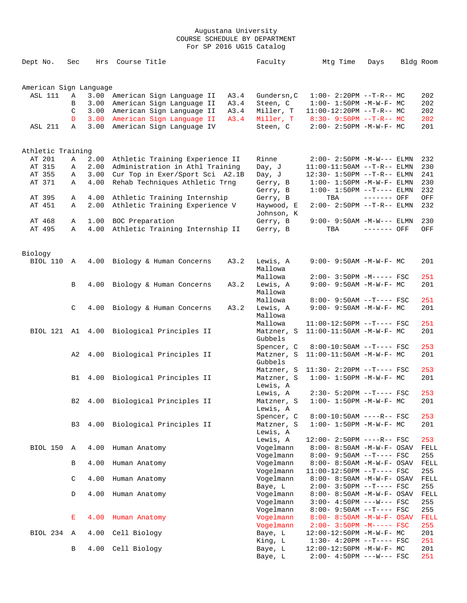| Dept No.               | Sec            | Hrs  | Course Title                     |      | Faculty               | Mtg Time                                             | Days        | Bldg Room   |
|------------------------|----------------|------|----------------------------------|------|-----------------------|------------------------------------------------------|-------------|-------------|
| American Sign Language |                |      |                                  |      |                       |                                                      |             |             |
| ASL 111                | Α              | 3.00 | American Sign Language II        | A3.4 | Gundersn, C           | $1:00-2:20PM -T-R--MC$                               |             | 202         |
|                        | В              | 3.00 | American Sign Language II        | A3.4 | Steen, C              | $1:00 - 1:50PM - M - W - F - MC$                     |             | 202         |
|                        | C              | 3.00 | American Sign Language II        | A3.4 | Miller, T             | $11:00-12:20PM$ --T-R-- MC                           |             | 202         |
|                        | D              | 3.00 | American Sign Language II        | A3.4 | Miller, T             | $8:30 - 9:50PM -T-R--MC$                             |             | 202         |
| ASL 211                | $\mathbb{A}$   | 3.00 | American Sign Language IV        |      | Steen, C              | $2:00 - 2:50PM - M - W - F - MC$                     |             | 201         |
| Athletic Training      |                |      |                                  |      |                       |                                                      |             |             |
| AT 201                 | Α              | 2.00 | Athletic Training Experience II  |      | Rinne                 | $2:00 - 2:50PM -M-W---$ ELMN                         |             | 232         |
| AT 315                 | Α              | 2.00 | Administration in Athl Training  |      | Day, J                | $11:00-11:50AM$ --T-R-- ELMN                         |             | 230         |
| AT 355                 | Α              | 3.00 | Cur Top in Exer/Sport Sci A2.1B  |      | Day, J                | 12:30- 1:50PM --T-R-- ELMN                           |             | 241         |
| AT 371                 | Α              | 4.00 | Rehab Techniques Athletic Trng   |      | Gerry, B              | $1:00-1:50PM -M-W-F-ELMN$                            |             | 230         |
|                        |                |      |                                  |      | Gerry, B              | $1:00-1:50PM$ --T---- ELMN                           |             | 232         |
| AT 395                 | Α              | 4.00 | Athletic Training Internship     |      | Gerry, B              | TBA                                                  | ------- OFF | OFF         |
| AT 451                 | Α              | 2.00 | Athletic Training Experience V   |      | Haywood, E            | $2:00 - 2:50PM -T-R-- ELMN$                          |             | 232         |
|                        |                |      |                                  |      | Johnson, K            |                                                      |             |             |
| AT 468                 | Α              | 1.00 | BOC Preparation                  |      | Gerry, B              | $9:00 - 9:50AM - M-W---$ ELMN                        |             | 230         |
| AT 495                 | Α              | 4.00 | Athletic Training Internship II  |      | Gerry, B              | TBA                                                  | ------- OFF | OFF         |
| Biology                |                |      |                                  |      |                       |                                                      |             |             |
| BIOL 110               | A              | 4.00 | Biology & Human Concerns         | A3.2 | Lewis, A              | $9:00 - 9:50AM - M - W - F - MC$                     |             | 201         |
|                        |                |      |                                  |      | Mallowa               |                                                      |             |             |
|                        |                |      |                                  |      | Mallowa               | $2:00-3:50PM -M-----FSC$                             |             | 251         |
|                        | B              | 4.00 | Biology & Human Concerns         | A3.2 | Lewis, A<br>Mallowa   | $9:00 - 9:50AM - M - W - F - MC$                     |             | 201         |
|                        |                |      |                                  |      | Mallowa               | 8:00- 9:50AM --T---- FSC                             |             | 251         |
|                        | C              | 4.00 | Biology & Human Concerns         | A3.2 | Lewis, A              | $9:00 - 9:50AM - M - W - F - MC$                     |             | 201         |
|                        |                |      |                                  |      | Mallowa               |                                                      |             |             |
|                        |                |      |                                  |      | Mallowa               | $11:00-12:50PM$ --T---- FSC                          |             | 251         |
| BIOL 121               | A1             | 4.00 | Biological Principles II         |      | Matzner, S            | $11:00-11:50AM$ -M-W-F- MC                           |             | 201         |
|                        |                |      |                                  |      | Gubbels               |                                                      |             |             |
|                        |                |      |                                  |      | Spencer, C            | 8:00-10:50AM --T---- FSC                             |             | 253         |
|                        | A2             | 4.00 | Biological Principles II         |      | Matzner, S            | 11:00-11:50AM -M-W-F- MC                             |             | 201         |
|                        |                |      |                                  |      | Gubbels               |                                                      |             |             |
|                        |                |      |                                  |      | Matzner, S            | $11:30 - 2:20PM -T--- FSC$                           |             | 253         |
|                        | B1             |      | 4.00 Biological Principles II    |      | Matzner, S            | $1:00 - 1:50PM - M - W - F - MC$                     |             | 201         |
|                        |                |      |                                  |      | Lewis, A              |                                                      |             |             |
|                        |                |      |                                  |      | Lewis, A              | $2:30 - 5:20PM -T--- FSC$                            |             | 253         |
|                        |                |      | B2 4.00 Biological Principles II |      | Matzner, S            | $1:00-1:50PM -M-W-F-MC$                              |             | 201         |
|                        |                |      |                                  |      | Lewis, A              |                                                      |             |             |
|                        |                |      |                                  |      | Spencer, C            | $8:00-10:50AM$ ----R-- FSC                           |             | 253         |
|                        | B <sub>3</sub> |      | 4.00 Biological Principles II    |      | Matzner, S            | $1:00 - 1:50PM - M - W - F - MC$                     |             | 201         |
|                        |                |      |                                  |      | Lewis, A              |                                                      |             |             |
| BIOL 150               | A              |      |                                  |      | Lewis, A<br>Vogelmann | $12:00 - 2:50PM$ ----R-- FSC                         |             | 253         |
|                        |                | 4.00 | Human Anatomy                    |      | Vogelmann             | 8:00- 8:50AM -M-W-F- OSAV<br>$8:00-9:50AM --T---FSC$ |             | FELL<br>255 |
|                        | B              | 4.00 | Human Anatomy                    |      | Vogelmann             | 8:00- 8:50AM -M-W-F- OSAV                            |             | FELL        |
|                        |                |      |                                  |      | Vogelmann             | $11:00-12:50PM$ --T---- FSC                          |             | 255         |
|                        | C              | 4.00 | Human Anatomy                    |      | Vogelmann             | 8:00- 8:50AM -M-W-F- OSAV                            |             | FELL        |
|                        |                |      |                                  |      | Baye, L               | $2:00-3:50PM$ --T---- FSC                            |             | 255         |
|                        | D              | 4.00 | Human Anatomy                    |      | Vogelmann             | 8:00- 8:50AM -M-W-F- OSAV                            |             | FELL        |
|                        |                |      |                                  |      | Vogelmann             | $3:00-4:50PM$ ---W--- FSC                            |             | 255         |
|                        |                |      |                                  |      | Vogelmann             | $8:00 - 9:50AM -T--- FSC$                            |             | 255         |
|                        | Е              | 4.00 | Human Anatomy                    |      | Vogelmann             | $8:00 - 8:50AM - M - W - F - OSAV$                   |             | FELL        |
|                        |                |      |                                  |      | Vogelmann             | $2:00 - 3:50PM - M--- FSC$                           |             | 255         |
| BIOL 234               | Α              | 4.00 | Cell Biology                     |      | Baye, L               | $12:00-12:50PM -M-W-F-MC$                            |             | 201         |
|                        |                |      |                                  |      | King, L               | $1:30-4:20PM --T---FSC$                              |             | 251         |
|                        | В              | 4.00 | Cell Biology                     |      | Baye, L               | $12:00-12:50PM -M-W-F-MC$                            |             | 201         |
|                        |                |      |                                  |      | Baye, L               | $2:00-4:50PM$ ---W--- FSC                            |             | 251         |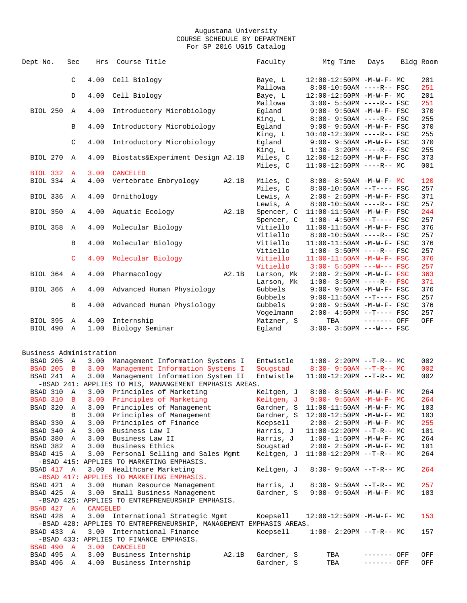| Dept No.                | Sec         | Hrs             | Course Title                                                       |       | Faculty                | Mtg Time                                                        | Days         | Bldg Room |            |
|-------------------------|-------------|-----------------|--------------------------------------------------------------------|-------|------------------------|-----------------------------------------------------------------|--------------|-----------|------------|
|                         | C           | 4.00            | Cell Biology                                                       |       | Baye, L                | $12:00-12:50PM -M-W-F-MC$                                       |              |           | 201        |
|                         |             |                 |                                                                    |       | Mallowa                | $8:00-10:50AM$ ----R-- FSC                                      |              |           | 251        |
|                         | D           | 4.00            | Cell Biology                                                       |       | Baye, L                | 12:00-12:50PM -M-W-F- MC                                        |              |           | 201        |
|                         |             |                 |                                                                    |       | Mallowa                | 3:00- 5:50PM ----R-- FSC                                        |              |           | 251        |
| BIOL 250                | Α           | 4.00            | Introductory Microbiology                                          |       | Eqland                 | 9:00- 9:50AM -M-W-F- FSC                                        |              |           | 370        |
|                         |             |                 |                                                                    |       | King, L                | 8:00- 9:50AM ----R-- FSC                                        |              |           | 255        |
|                         | B           | 4.00            | Introductory Microbiology                                          |       | Egland                 | $9:00 - 9:50AM - M - W - F - FSC$                               |              |           | 370        |
|                         |             |                 |                                                                    |       | King, L                | $10:40-12:30PM$ ----R-- FSC                                     |              |           | 255        |
|                         | C           | 4.00            | Introductory Microbiology                                          |       | Egland                 | 9:00- 9:50AM -M-W-F- FSC                                        |              |           | 370        |
|                         |             |                 |                                                                    |       | King, L                | $1:30 - 3:20PM$ ----R-- FSC                                     |              |           | 255        |
| BIOL 270                | Α           | 4.00            | Biostats&Experiment Design A2.1B                                   |       | Miles, C               | 12:00-12:50PM -M-W-F- FSC                                       |              |           | 373        |
|                         |             |                 |                                                                    |       | Miles, C               | $11:00-12:50PM$ ----R-- MC                                      |              |           | 001        |
| BIOL 332                | A           | 3.00            | <b>CANCELED</b>                                                    |       |                        |                                                                 |              |           |            |
| BIOL 334 A              |             | 4.00            | Vertebrate Embryology                                              | A2.1B | Miles, C               | $8:00 - 8:50AM - M - W - F - MC$                                |              |           | 120        |
|                         |             |                 |                                                                    |       | Miles, C               | $8:00-10:50AM$ --T---- FSC                                      |              |           | 257        |
| BIOL 336                | A           | 4.00            | Ornithology                                                        |       | Lewis, A               | 2:00- 2:50PM -M-W-F- FSC                                        |              |           | 371        |
|                         |             |                 |                                                                    |       | Lewis, A               | $8:00-10:50AM$ ----R-- FSC                                      |              |           | 257        |
| BIOL 350                | Α           | 4.00            | Aquatic Ecology                                                    | A2.1B | Spencer, C             | 11:00-11:50AM -M-W-F- FSC                                       |              |           | 244        |
|                         |             |                 |                                                                    |       | Spencer, C             | $1:00-4:50PM -T---FSC$                                          |              |           | 257        |
| BIOL 358                | Α           | 4.00            | Molecular Biology                                                  |       | Vitiello               | 11:00-11:50AM -M-W-F- FSC<br>$8:00-10:50AM$ ----R-- FSC         |              |           | 376<br>257 |
|                         |             |                 |                                                                    |       | Vitiello               |                                                                 |              |           |            |
|                         | B           | 4.00            | Molecular Biology                                                  |       | Vitiello               | 11:00-11:50AM -M-W-F- FSC                                       |              |           | 376        |
|                         |             |                 |                                                                    |       | Vitiello<br>Vitiello   | $1:00-3:50PM$ ----R-- FSC                                       |              |           | 257<br>376 |
|                         | C           | 4.00            | Molecular Biology                                                  |       |                        | $11:00-11:50AM$ -M-W-F- FSC                                     |              |           | 257        |
| BIOL 364 A              |             | 4.00            |                                                                    | A2.1B | Vitiello<br>Larson, Mk | $3:00 - 5:50PM$ ---W--- FSC<br>$2:00 - 2:50PM -M-W-F - FSC$     |              |           | 363        |
|                         |             |                 | Pharmacology                                                       |       | Larson, Mk             | $1:00 - 3:50PM$ ----R-- FSC                                     |              |           | 371        |
| BIOL 366                | Α           |                 |                                                                    |       | Gubbels                |                                                                 |              |           | 376        |
|                         |             | 4.00            | Advanced Human Physiology                                          |       | Gubbels                | $9:00 - 9:50AM - M - W - F - FSC$<br>$9:00-11:50AM$ --T---- FSC |              |           | 257        |
|                         |             |                 |                                                                    |       | Gubbels                | 9:00- 9:50AM -M-W-F- FSC                                        |              |           | 376        |
|                         | B           | 4.00            | Advanced Human Physiology                                          |       | Vogelmann              | $2:00-4:50PM -T---FSC$                                          |              |           | 257        |
| <b>BIOL 395</b>         | Α           | 4.00            | Internship                                                         |       | Matzner, S             | TBA                                                             | $------$ OFF |           | OFF        |
| BIOL 490                | $\mathbb A$ | 1.00            | Biology Seminar                                                    |       | Egland                 | $3:00 - 3:50PM$ ---W--- FSC                                     |              |           |            |
|                         |             |                 |                                                                    |       |                        |                                                                 |              |           |            |
| Business Administration |             |                 |                                                                    |       |                        |                                                                 |              |           |            |
| BSAD 205 A              |             |                 | 3.00 Management Information Systems I                              |       | Entwistle              | $1:00-2:20PM -T-R--MC$                                          |              |           | 002        |
| <b>BSAD 205 B</b>       |             |                 | 3.00 Management Information Systems I                              |       | Sougstad               | $8:30 - 9:50AM$ --T-R-- MC                                      |              |           | 002        |
| BSAD 241 A              |             | 3.00            | Management Information System II                                   |       | Entwistle              | $11:00-12:20PM$ --T-R-- MC                                      |              |           | 002        |
|                         |             |                 | -BSAD 241: APPLIES TO MIS, MANANGEMENT EMPHASIS AREAS.             |       |                        |                                                                 |              |           |            |
| BSAD 310 A              |             |                 | 3.00 Principles of Marketing                                       |       | Keltgen, J             | $8:00-8:50AM -M-W-F-MC$                                         |              |           | 264        |
|                         |             |                 | BSAD 310 B 3.00 Principles of Marketing                            |       |                        | Keltgen, J 9:00- 9:50AM -M-W-F- MC                              |              |           | 264        |
| BSAD 320 A              |             |                 | 3.00 Principles of Management                                      |       | Gardner, S             | $11:00-11:50AM$ -M-W-F- MC                                      |              |           | 103        |
|                         | B           |                 | 3.00 Principles of Management                                      |       |                        | Gardner, S 12:00-12:50PM -M-W-F- MC                             |              |           | 103        |
| BSAD 330                | A           |                 | 3.00 Principles of Finance                                         |       | Koepsell               | $2:00 - 2:50PM -M-W-F - MC$                                     |              |           | 255        |
| BSAD 340 A              |             | 3.00            | Business Law I                                                     |       | Harris, J              | $11:00-12:20PM$ --T-R-- MC                                      |              |           | 101        |
| BSAD 380 A              |             | 3.00            | Business Law II                                                    |       |                        | Harris, $J = 1:00 - 1:50PM - M - W - F - MC$                    |              |           | 264        |
| BSAD 382 A              |             |                 | 3.00 Business Ethics                                               |       | Sougstad               | $2:00 - 2:50PM - M - W - F - MC$                                |              |           | 101        |
| BSAD 415 A              |             |                 | 3.00 Personal Selling and Sales Mgmt                               |       | Keltgen, J             | $11:00-12:20PM$ --T-R-- MC                                      |              |           | 264        |
|                         |             |                 | -BSAD 415: APPLIES TO MARKETING EMPHASIS.                          |       |                        |                                                                 |              |           |            |
| BSAD 417 A              |             |                 | 3.00 Healthcare Marketing                                          |       | Keltgen, J             | $8:30 - 9:50AM -T-R-- MC$                                       |              |           | 264        |
|                         |             |                 | -BSAD 417: APPLIES TO MARKETING EMPHASIS.                          |       |                        |                                                                 |              |           |            |
| BSAD 421 A              |             | 3.00            | Human Resource Management                                          |       | Harris, J              | $8:30 - 9:50AM -T-R-- MC$                                       |              |           | 257        |
| BSAD 425 A              |             |                 | 3.00 Small Business Management                                     |       | Gardner, S             | $9:00 - 9:50AM - M - W - F - MC$                                |              |           | 103        |
|                         |             |                 | -BSAD 425: APPLIES TO ENTREPRENEURSHIP EMPHASIS.                   |       |                        |                                                                 |              |           |            |
| BSAD 427 A              |             | <b>CANCELED</b> |                                                                    |       |                        |                                                                 |              |           |            |
| BSAD 428 A              |             |                 | 3.00 International Strategic Mgmt                                  |       | Koepsell               | $12:00-12:50PM -M-W-F-MC$                                       |              |           | 153        |
|                         |             |                 | -BSAD 428: APPLIES TO ENTREPRENEURSHIP, MANAGEMENT EMPHASIS AREAS. |       |                        |                                                                 |              |           |            |
| BSAD 433 A              |             |                 | 3.00 International Finance                                         |       | Koepsell               | $1:00-2:20PM -T-R--MC$                                          |              |           | 157        |
|                         |             |                 | -BSAD 433: APPLIES TO FINANCE EMPHASIS.                            |       |                        |                                                                 |              |           |            |
| BSAD 490 A              |             |                 | 3.00 CANCELED                                                      |       |                        |                                                                 |              |           |            |
| BSAD 495 A              |             |                 | 3.00 Business Internship                                           | A2.1B | Gardner, S             | TBA                                                             | ------- OFF  |           | OFF        |
| BSAD 496 A              |             |                 | 4.00 Business Internship                                           |       | Gardner, S             | TBA                                                             | ------- OFF  |           | OFF        |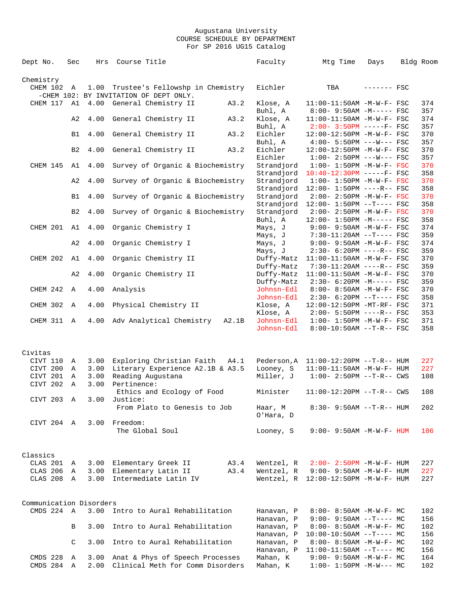| Chemistry<br>Trustee's Fellowshp in Chemistry<br>Eichler<br>CHEM 102 A<br>1.00<br>TBA<br>------- FSC<br>-CHEM 102: BY INVITATION OF DEPT ONLY.<br>CHEM 117 A1<br>4.00<br>General Chemistry II<br>A3.2<br>Klose, A<br>$11:00-11:50AM$ -M-W-F- FSC<br>Buhl, A<br>8:00- 9:50AM -M----- FSC<br>357<br>General Chemistry II<br>Klose, A<br>A2<br>4.00<br>A3.2<br>$11:00-11:50AM$ -M-W-F- FSC<br>Buhl, A<br>$2:00 - 3:50PM$ -----F- FSC<br>Eichler<br>370<br><b>B1</b><br>4.00<br>General Chemistry II<br>A3.2<br>12:00-12:50PM -M-W-F- FSC<br>Buhl, A<br>$4:00 - 5:50PM$ ---W--- FSC<br>4.00<br>General Chemistry II<br>A3.2<br>Eichler<br>B <sub>2</sub><br>12:00-12:50PM -M-W-F- FSC<br>Eichler<br>$1:00-2:50PM$ ---W--- FSC<br>357<br>CHEM 145<br>4.00<br>Survey of Organic & Biochemistry<br>370<br>A1<br>Strandjord<br>$1:00 - 1:50PM - M - W - F - FSC$<br>358<br>Strandjord<br>$10:40-12:30PM$ -----F- FSC<br>A2<br>4.00<br>Survey of Organic & Biochemistry<br>Strandjord<br>$1:00 - 1:50PM - M - W - F - FSC$<br>Strandjord<br>12:00- 1:50PM ----R-- FSC<br>358<br>4.00<br>Survey of Organic & Biochemistry<br>Strandjord<br><b>B1</b><br>$2:00 - 2:50PM - M - W - F - FSC$<br>Strandjord<br>$12:00 - 1:50PM -T--- FSC$<br>B <sub>2</sub><br>4.00<br>Survey of Organic & Biochemistry<br>Strandjord<br>370<br>$2:00 - 2:50PM - M - W - F - FSC$<br>Buhl, A<br>12:00- 1:50PM -M----- FSC<br>CHEM 201<br>4.00<br>Organic Chemistry I<br>Mays, J<br>$9:00 - 9:50AM - M - W - F - FSC$<br>374<br>A1<br>359<br>Mays, J<br>$7:30-11:20AM$ --T---- FSC<br>4.00<br>Organic Chemistry I<br>A2<br>Mays, J<br>$9:00 - 9:50AM - M - W - F - FSC$<br>359<br>Mays, J<br>$2:30-6:20PM$ ----R-- FSC<br>CHEM 202<br>A1<br>4.00<br>Organic Chemistry II<br>Duffy-Matz<br>11:00-11:50AM -M-W-F- FSC<br>Duffy-Matz<br>7:30-11:20AM ----R-- FSC<br>4.00<br>Organic Chemistry II<br>370<br>A2<br>Duffy-Matz<br>$11:00-11:50AM$ -M-W-F- FSC<br>Duffy-Matz<br>2:30- 6:20PM -M----- FSC<br>359<br>CHEM 242<br>Α<br>4.00<br>Analysis<br>Johnsn-Edl<br>8:00- 8:50AM -M-W-F- FSC<br>370<br>Johnsn-Edl<br>358<br>$2:30-6:20PM --T---FSC$<br>CHEM 302<br>4.00<br>Physical Chemistry II<br>Klose, A<br>Α<br>12:00-12:50PM -MT-RF- FSC<br>Klose, A<br>$2:00-5:50PM$ ----R-- FSC<br>353<br>4.00<br>Adv Analytical Chemistry<br>Johnsn-Edl<br>$1:00 - 1:50PM - M - W - F - FSC$<br>371<br>CHEM 311 A<br>A2.1B<br>Johnsn-Edl<br>8:00-10:50AM --T-R-- FSC<br>Civitas<br>Exploring Christian Faith<br>CIVT 110<br>3.00<br>A4.1<br>Pederson, A<br>$11:00-12:20PM$ --T-R-- HUM<br>Α<br>CIVT 200<br>Literary Experience A2.1B & A3.5<br>Looney, S<br>11:00-11:50AM -M-W-F- HUM<br>3.00<br>Α<br>CIVT 201<br>3.00<br>Reading Augustana<br>Miller, J<br>$1:00-2:50PM -T-R--CWS$<br>Α<br>CIVT 202<br>3.00<br>Pertinence:<br>Α<br>108<br>Ethics and Ecology of Food<br>Minister<br>$11:00-12:20PM --T-R--CWS$<br>CIVT 203 A<br>3.00 Justice:<br>From Plato to Genesis to Job<br>Haar, M<br>$8:30 - 9:50AM -T-R-- HUM$<br>202<br>O'Hara, D<br>CIVT 204 A<br>3.00 Freedom:<br>The Global Soul<br>Looney, S<br>$9:00 - 9:50AM - M - W - F - HUM$<br>Classics<br>CLAS 201 A<br>Elementary Greek II<br>A3.4<br>Wentzel, R<br>$2:00 - 2:50PM - M - W - F - HUM$<br>227<br>3.00<br>Elementary Latin II<br>CLAS 206<br>3.00<br>A3.4<br>Wentzel, R<br>$9:00 - 9:50AM - M - W - F - HUM$<br>227<br>Α<br>CLAS 208 A<br>Intermediate Latin IV<br>3.00<br>Wentzel, R<br>12:00-12:50PM -M-W-F- HUM<br>Communication Disorders<br>CMDS 224 A<br>3.00<br>Intro to Aural Rehabilitation<br>$8:00 - 8:50AM$ -M-W-F- MC<br>Hanavan, P<br>Hanavan, P<br>$9:00 - 9:50AM -T--- MC$<br>Intro to Aural Rehabilitation<br>3.00<br>Hanavan, P<br>В<br>$8:00 - 8:50AM - M - W - F - MC$<br>Hanavan, P<br>156<br>$10:00-10:50AM$ --T---- MC<br>Intro to Aural Rehabilitation<br>C<br>3.00<br>Hanavan, P<br>$8:00 - 8:50AM$ -M-W-F- MC<br>Hanavan, P<br>$11:00-11:50AM$ --T---- MC<br>156<br>CMDS 228<br>3.00<br>Anat & Phys of Speech Processes<br>Mahan, K<br>$9:00 - 9:50AM - M - W - F - MC$<br>Α<br>CMDS 284 A<br>Clinical Meth for Comm Disorders<br>2.00<br>$1:00-1:50PM -M-W--- MC$ | Dept No. | Sec | Hrs | Course Title | Faculty  | Mtg Time | Days | Bldg Room  |
|-----------------------------------------------------------------------------------------------------------------------------------------------------------------------------------------------------------------------------------------------------------------------------------------------------------------------------------------------------------------------------------------------------------------------------------------------------------------------------------------------------------------------------------------------------------------------------------------------------------------------------------------------------------------------------------------------------------------------------------------------------------------------------------------------------------------------------------------------------------------------------------------------------------------------------------------------------------------------------------------------------------------------------------------------------------------------------------------------------------------------------------------------------------------------------------------------------------------------------------------------------------------------------------------------------------------------------------------------------------------------------------------------------------------------------------------------------------------------------------------------------------------------------------------------------------------------------------------------------------------------------------------------------------------------------------------------------------------------------------------------------------------------------------------------------------------------------------------------------------------------------------------------------------------------------------------------------------------------------------------------------------------------------------------------------------------------------------------------------------------------------------------------------------------------------------------------------------------------------------------------------------------------------------------------------------------------------------------------------------------------------------------------------------------------------------------------------------------------------------------------------------------------------------------------------------------------------------------------------------------------------------------------------------------------------------------------------------------------------------------------------------------------------------------------------------------------------------------------------------------------------------------------------------------------------------------------------------------------------------------------------------------------------------------------------------------------------------------------------------------------------------------------------------------------------------------------------------------------------------------------------------------------------------------------------------------------------------------------------------------------------------------------------------------------------------------------------------------------------------------------------------------------------------------------------------------------------------------------------------------------------------------------------------------------------------------------------------------------------------------------------------------------------------------------------------------------------------------------------------------------------------------------------------------------------------------------------------------------------------------------------------------------------------------------------------------------------------------------------------------------|----------|-----|-----|--------------|----------|----------|------|------------|
|                                                                                                                                                                                                                                                                                                                                                                                                                                                                                                                                                                                                                                                                                                                                                                                                                                                                                                                                                                                                                                                                                                                                                                                                                                                                                                                                                                                                                                                                                                                                                                                                                                                                                                                                                                                                                                                                                                                                                                                                                                                                                                                                                                                                                                                                                                                                                                                                                                                                                                                                                                                                                                                                                                                                                                                                                                                                                                                                                                                                                                                                                                                                                                                                                                                                                                                                                                                                                                                                                                                                                                                                                                                                                                                                                                                                                                                                                                                                                                                                                                                                                                                       |          |     |     |              |          |          |      |            |
|                                                                                                                                                                                                                                                                                                                                                                                                                                                                                                                                                                                                                                                                                                                                                                                                                                                                                                                                                                                                                                                                                                                                                                                                                                                                                                                                                                                                                                                                                                                                                                                                                                                                                                                                                                                                                                                                                                                                                                                                                                                                                                                                                                                                                                                                                                                                                                                                                                                                                                                                                                                                                                                                                                                                                                                                                                                                                                                                                                                                                                                                                                                                                                                                                                                                                                                                                                                                                                                                                                                                                                                                                                                                                                                                                                                                                                                                                                                                                                                                                                                                                                                       |          |     |     |              |          |          |      |            |
|                                                                                                                                                                                                                                                                                                                                                                                                                                                                                                                                                                                                                                                                                                                                                                                                                                                                                                                                                                                                                                                                                                                                                                                                                                                                                                                                                                                                                                                                                                                                                                                                                                                                                                                                                                                                                                                                                                                                                                                                                                                                                                                                                                                                                                                                                                                                                                                                                                                                                                                                                                                                                                                                                                                                                                                                                                                                                                                                                                                                                                                                                                                                                                                                                                                                                                                                                                                                                                                                                                                                                                                                                                                                                                                                                                                                                                                                                                                                                                                                                                                                                                                       |          |     |     |              |          |          |      | 374        |
|                                                                                                                                                                                                                                                                                                                                                                                                                                                                                                                                                                                                                                                                                                                                                                                                                                                                                                                                                                                                                                                                                                                                                                                                                                                                                                                                                                                                                                                                                                                                                                                                                                                                                                                                                                                                                                                                                                                                                                                                                                                                                                                                                                                                                                                                                                                                                                                                                                                                                                                                                                                                                                                                                                                                                                                                                                                                                                                                                                                                                                                                                                                                                                                                                                                                                                                                                                                                                                                                                                                                                                                                                                                                                                                                                                                                                                                                                                                                                                                                                                                                                                                       |          |     |     |              |          |          |      | 374        |
|                                                                                                                                                                                                                                                                                                                                                                                                                                                                                                                                                                                                                                                                                                                                                                                                                                                                                                                                                                                                                                                                                                                                                                                                                                                                                                                                                                                                                                                                                                                                                                                                                                                                                                                                                                                                                                                                                                                                                                                                                                                                                                                                                                                                                                                                                                                                                                                                                                                                                                                                                                                                                                                                                                                                                                                                                                                                                                                                                                                                                                                                                                                                                                                                                                                                                                                                                                                                                                                                                                                                                                                                                                                                                                                                                                                                                                                                                                                                                                                                                                                                                                                       |          |     |     |              |          |          |      | 357        |
|                                                                                                                                                                                                                                                                                                                                                                                                                                                                                                                                                                                                                                                                                                                                                                                                                                                                                                                                                                                                                                                                                                                                                                                                                                                                                                                                                                                                                                                                                                                                                                                                                                                                                                                                                                                                                                                                                                                                                                                                                                                                                                                                                                                                                                                                                                                                                                                                                                                                                                                                                                                                                                                                                                                                                                                                                                                                                                                                                                                                                                                                                                                                                                                                                                                                                                                                                                                                                                                                                                                                                                                                                                                                                                                                                                                                                                                                                                                                                                                                                                                                                                                       |          |     |     |              |          |          |      | 357        |
|                                                                                                                                                                                                                                                                                                                                                                                                                                                                                                                                                                                                                                                                                                                                                                                                                                                                                                                                                                                                                                                                                                                                                                                                                                                                                                                                                                                                                                                                                                                                                                                                                                                                                                                                                                                                                                                                                                                                                                                                                                                                                                                                                                                                                                                                                                                                                                                                                                                                                                                                                                                                                                                                                                                                                                                                                                                                                                                                                                                                                                                                                                                                                                                                                                                                                                                                                                                                                                                                                                                                                                                                                                                                                                                                                                                                                                                                                                                                                                                                                                                                                                                       |          |     |     |              |          |          |      | 370        |
|                                                                                                                                                                                                                                                                                                                                                                                                                                                                                                                                                                                                                                                                                                                                                                                                                                                                                                                                                                                                                                                                                                                                                                                                                                                                                                                                                                                                                                                                                                                                                                                                                                                                                                                                                                                                                                                                                                                                                                                                                                                                                                                                                                                                                                                                                                                                                                                                                                                                                                                                                                                                                                                                                                                                                                                                                                                                                                                                                                                                                                                                                                                                                                                                                                                                                                                                                                                                                                                                                                                                                                                                                                                                                                                                                                                                                                                                                                                                                                                                                                                                                                                       |          |     |     |              |          |          |      |            |
|                                                                                                                                                                                                                                                                                                                                                                                                                                                                                                                                                                                                                                                                                                                                                                                                                                                                                                                                                                                                                                                                                                                                                                                                                                                                                                                                                                                                                                                                                                                                                                                                                                                                                                                                                                                                                                                                                                                                                                                                                                                                                                                                                                                                                                                                                                                                                                                                                                                                                                                                                                                                                                                                                                                                                                                                                                                                                                                                                                                                                                                                                                                                                                                                                                                                                                                                                                                                                                                                                                                                                                                                                                                                                                                                                                                                                                                                                                                                                                                                                                                                                                                       |          |     |     |              |          |          |      | 370        |
|                                                                                                                                                                                                                                                                                                                                                                                                                                                                                                                                                                                                                                                                                                                                                                                                                                                                                                                                                                                                                                                                                                                                                                                                                                                                                                                                                                                                                                                                                                                                                                                                                                                                                                                                                                                                                                                                                                                                                                                                                                                                                                                                                                                                                                                                                                                                                                                                                                                                                                                                                                                                                                                                                                                                                                                                                                                                                                                                                                                                                                                                                                                                                                                                                                                                                                                                                                                                                                                                                                                                                                                                                                                                                                                                                                                                                                                                                                                                                                                                                                                                                                                       |          |     |     |              |          |          |      | 370        |
|                                                                                                                                                                                                                                                                                                                                                                                                                                                                                                                                                                                                                                                                                                                                                                                                                                                                                                                                                                                                                                                                                                                                                                                                                                                                                                                                                                                                                                                                                                                                                                                                                                                                                                                                                                                                                                                                                                                                                                                                                                                                                                                                                                                                                                                                                                                                                                                                                                                                                                                                                                                                                                                                                                                                                                                                                                                                                                                                                                                                                                                                                                                                                                                                                                                                                                                                                                                                                                                                                                                                                                                                                                                                                                                                                                                                                                                                                                                                                                                                                                                                                                                       |          |     |     |              |          |          |      | 358        |
|                                                                                                                                                                                                                                                                                                                                                                                                                                                                                                                                                                                                                                                                                                                                                                                                                                                                                                                                                                                                                                                                                                                                                                                                                                                                                                                                                                                                                                                                                                                                                                                                                                                                                                                                                                                                                                                                                                                                                                                                                                                                                                                                                                                                                                                                                                                                                                                                                                                                                                                                                                                                                                                                                                                                                                                                                                                                                                                                                                                                                                                                                                                                                                                                                                                                                                                                                                                                                                                                                                                                                                                                                                                                                                                                                                                                                                                                                                                                                                                                                                                                                                                       |          |     |     |              |          |          |      | 358        |
|                                                                                                                                                                                                                                                                                                                                                                                                                                                                                                                                                                                                                                                                                                                                                                                                                                                                                                                                                                                                                                                                                                                                                                                                                                                                                                                                                                                                                                                                                                                                                                                                                                                                                                                                                                                                                                                                                                                                                                                                                                                                                                                                                                                                                                                                                                                                                                                                                                                                                                                                                                                                                                                                                                                                                                                                                                                                                                                                                                                                                                                                                                                                                                                                                                                                                                                                                                                                                                                                                                                                                                                                                                                                                                                                                                                                                                                                                                                                                                                                                                                                                                                       |          |     |     |              |          |          |      |            |
|                                                                                                                                                                                                                                                                                                                                                                                                                                                                                                                                                                                                                                                                                                                                                                                                                                                                                                                                                                                                                                                                                                                                                                                                                                                                                                                                                                                                                                                                                                                                                                                                                                                                                                                                                                                                                                                                                                                                                                                                                                                                                                                                                                                                                                                                                                                                                                                                                                                                                                                                                                                                                                                                                                                                                                                                                                                                                                                                                                                                                                                                                                                                                                                                                                                                                                                                                                                                                                                                                                                                                                                                                                                                                                                                                                                                                                                                                                                                                                                                                                                                                                                       |          |     |     |              |          |          |      | 374        |
|                                                                                                                                                                                                                                                                                                                                                                                                                                                                                                                                                                                                                                                                                                                                                                                                                                                                                                                                                                                                                                                                                                                                                                                                                                                                                                                                                                                                                                                                                                                                                                                                                                                                                                                                                                                                                                                                                                                                                                                                                                                                                                                                                                                                                                                                                                                                                                                                                                                                                                                                                                                                                                                                                                                                                                                                                                                                                                                                                                                                                                                                                                                                                                                                                                                                                                                                                                                                                                                                                                                                                                                                                                                                                                                                                                                                                                                                                                                                                                                                                                                                                                                       |          |     |     |              |          |          |      | 370        |
|                                                                                                                                                                                                                                                                                                                                                                                                                                                                                                                                                                                                                                                                                                                                                                                                                                                                                                                                                                                                                                                                                                                                                                                                                                                                                                                                                                                                                                                                                                                                                                                                                                                                                                                                                                                                                                                                                                                                                                                                                                                                                                                                                                                                                                                                                                                                                                                                                                                                                                                                                                                                                                                                                                                                                                                                                                                                                                                                                                                                                                                                                                                                                                                                                                                                                                                                                                                                                                                                                                                                                                                                                                                                                                                                                                                                                                                                                                                                                                                                                                                                                                                       |          |     |     |              |          |          |      | 359        |
|                                                                                                                                                                                                                                                                                                                                                                                                                                                                                                                                                                                                                                                                                                                                                                                                                                                                                                                                                                                                                                                                                                                                                                                                                                                                                                                                                                                                                                                                                                                                                                                                                                                                                                                                                                                                                                                                                                                                                                                                                                                                                                                                                                                                                                                                                                                                                                                                                                                                                                                                                                                                                                                                                                                                                                                                                                                                                                                                                                                                                                                                                                                                                                                                                                                                                                                                                                                                                                                                                                                                                                                                                                                                                                                                                                                                                                                                                                                                                                                                                                                                                                                       |          |     |     |              |          |          |      |            |
|                                                                                                                                                                                                                                                                                                                                                                                                                                                                                                                                                                                                                                                                                                                                                                                                                                                                                                                                                                                                                                                                                                                                                                                                                                                                                                                                                                                                                                                                                                                                                                                                                                                                                                                                                                                                                                                                                                                                                                                                                                                                                                                                                                                                                                                                                                                                                                                                                                                                                                                                                                                                                                                                                                                                                                                                                                                                                                                                                                                                                                                                                                                                                                                                                                                                                                                                                                                                                                                                                                                                                                                                                                                                                                                                                                                                                                                                                                                                                                                                                                                                                                                       |          |     |     |              |          |          |      |            |
|                                                                                                                                                                                                                                                                                                                                                                                                                                                                                                                                                                                                                                                                                                                                                                                                                                                                                                                                                                                                                                                                                                                                                                                                                                                                                                                                                                                                                                                                                                                                                                                                                                                                                                                                                                                                                                                                                                                                                                                                                                                                                                                                                                                                                                                                                                                                                                                                                                                                                                                                                                                                                                                                                                                                                                                                                                                                                                                                                                                                                                                                                                                                                                                                                                                                                                                                                                                                                                                                                                                                                                                                                                                                                                                                                                                                                                                                                                                                                                                                                                                                                                                       |          |     |     |              |          |          |      | 371        |
|                                                                                                                                                                                                                                                                                                                                                                                                                                                                                                                                                                                                                                                                                                                                                                                                                                                                                                                                                                                                                                                                                                                                                                                                                                                                                                                                                                                                                                                                                                                                                                                                                                                                                                                                                                                                                                                                                                                                                                                                                                                                                                                                                                                                                                                                                                                                                                                                                                                                                                                                                                                                                                                                                                                                                                                                                                                                                                                                                                                                                                                                                                                                                                                                                                                                                                                                                                                                                                                                                                                                                                                                                                                                                                                                                                                                                                                                                                                                                                                                                                                                                                                       |          |     |     |              |          |          |      |            |
|                                                                                                                                                                                                                                                                                                                                                                                                                                                                                                                                                                                                                                                                                                                                                                                                                                                                                                                                                                                                                                                                                                                                                                                                                                                                                                                                                                                                                                                                                                                                                                                                                                                                                                                                                                                                                                                                                                                                                                                                                                                                                                                                                                                                                                                                                                                                                                                                                                                                                                                                                                                                                                                                                                                                                                                                                                                                                                                                                                                                                                                                                                                                                                                                                                                                                                                                                                                                                                                                                                                                                                                                                                                                                                                                                                                                                                                                                                                                                                                                                                                                                                                       |          |     |     |              |          |          |      | 358        |
|                                                                                                                                                                                                                                                                                                                                                                                                                                                                                                                                                                                                                                                                                                                                                                                                                                                                                                                                                                                                                                                                                                                                                                                                                                                                                                                                                                                                                                                                                                                                                                                                                                                                                                                                                                                                                                                                                                                                                                                                                                                                                                                                                                                                                                                                                                                                                                                                                                                                                                                                                                                                                                                                                                                                                                                                                                                                                                                                                                                                                                                                                                                                                                                                                                                                                                                                                                                                                                                                                                                                                                                                                                                                                                                                                                                                                                                                                                                                                                                                                                                                                                                       |          |     |     |              |          |          |      |            |
|                                                                                                                                                                                                                                                                                                                                                                                                                                                                                                                                                                                                                                                                                                                                                                                                                                                                                                                                                                                                                                                                                                                                                                                                                                                                                                                                                                                                                                                                                                                                                                                                                                                                                                                                                                                                                                                                                                                                                                                                                                                                                                                                                                                                                                                                                                                                                                                                                                                                                                                                                                                                                                                                                                                                                                                                                                                                                                                                                                                                                                                                                                                                                                                                                                                                                                                                                                                                                                                                                                                                                                                                                                                                                                                                                                                                                                                                                                                                                                                                                                                                                                                       |          |     |     |              |          |          |      | 227        |
|                                                                                                                                                                                                                                                                                                                                                                                                                                                                                                                                                                                                                                                                                                                                                                                                                                                                                                                                                                                                                                                                                                                                                                                                                                                                                                                                                                                                                                                                                                                                                                                                                                                                                                                                                                                                                                                                                                                                                                                                                                                                                                                                                                                                                                                                                                                                                                                                                                                                                                                                                                                                                                                                                                                                                                                                                                                                                                                                                                                                                                                                                                                                                                                                                                                                                                                                                                                                                                                                                                                                                                                                                                                                                                                                                                                                                                                                                                                                                                                                                                                                                                                       |          |     |     |              |          |          |      | 227        |
|                                                                                                                                                                                                                                                                                                                                                                                                                                                                                                                                                                                                                                                                                                                                                                                                                                                                                                                                                                                                                                                                                                                                                                                                                                                                                                                                                                                                                                                                                                                                                                                                                                                                                                                                                                                                                                                                                                                                                                                                                                                                                                                                                                                                                                                                                                                                                                                                                                                                                                                                                                                                                                                                                                                                                                                                                                                                                                                                                                                                                                                                                                                                                                                                                                                                                                                                                                                                                                                                                                                                                                                                                                                                                                                                                                                                                                                                                                                                                                                                                                                                                                                       |          |     |     |              |          |          |      | 108        |
|                                                                                                                                                                                                                                                                                                                                                                                                                                                                                                                                                                                                                                                                                                                                                                                                                                                                                                                                                                                                                                                                                                                                                                                                                                                                                                                                                                                                                                                                                                                                                                                                                                                                                                                                                                                                                                                                                                                                                                                                                                                                                                                                                                                                                                                                                                                                                                                                                                                                                                                                                                                                                                                                                                                                                                                                                                                                                                                                                                                                                                                                                                                                                                                                                                                                                                                                                                                                                                                                                                                                                                                                                                                                                                                                                                                                                                                                                                                                                                                                                                                                                                                       |          |     |     |              |          |          |      |            |
|                                                                                                                                                                                                                                                                                                                                                                                                                                                                                                                                                                                                                                                                                                                                                                                                                                                                                                                                                                                                                                                                                                                                                                                                                                                                                                                                                                                                                                                                                                                                                                                                                                                                                                                                                                                                                                                                                                                                                                                                                                                                                                                                                                                                                                                                                                                                                                                                                                                                                                                                                                                                                                                                                                                                                                                                                                                                                                                                                                                                                                                                                                                                                                                                                                                                                                                                                                                                                                                                                                                                                                                                                                                                                                                                                                                                                                                                                                                                                                                                                                                                                                                       |          |     |     |              |          |          |      |            |
|                                                                                                                                                                                                                                                                                                                                                                                                                                                                                                                                                                                                                                                                                                                                                                                                                                                                                                                                                                                                                                                                                                                                                                                                                                                                                                                                                                                                                                                                                                                                                                                                                                                                                                                                                                                                                                                                                                                                                                                                                                                                                                                                                                                                                                                                                                                                                                                                                                                                                                                                                                                                                                                                                                                                                                                                                                                                                                                                                                                                                                                                                                                                                                                                                                                                                                                                                                                                                                                                                                                                                                                                                                                                                                                                                                                                                                                                                                                                                                                                                                                                                                                       |          |     |     |              |          |          |      |            |
|                                                                                                                                                                                                                                                                                                                                                                                                                                                                                                                                                                                                                                                                                                                                                                                                                                                                                                                                                                                                                                                                                                                                                                                                                                                                                                                                                                                                                                                                                                                                                                                                                                                                                                                                                                                                                                                                                                                                                                                                                                                                                                                                                                                                                                                                                                                                                                                                                                                                                                                                                                                                                                                                                                                                                                                                                                                                                                                                                                                                                                                                                                                                                                                                                                                                                                                                                                                                                                                                                                                                                                                                                                                                                                                                                                                                                                                                                                                                                                                                                                                                                                                       |          |     |     |              |          |          |      | 106        |
|                                                                                                                                                                                                                                                                                                                                                                                                                                                                                                                                                                                                                                                                                                                                                                                                                                                                                                                                                                                                                                                                                                                                                                                                                                                                                                                                                                                                                                                                                                                                                                                                                                                                                                                                                                                                                                                                                                                                                                                                                                                                                                                                                                                                                                                                                                                                                                                                                                                                                                                                                                                                                                                                                                                                                                                                                                                                                                                                                                                                                                                                                                                                                                                                                                                                                                                                                                                                                                                                                                                                                                                                                                                                                                                                                                                                                                                                                                                                                                                                                                                                                                                       |          |     |     |              |          |          |      |            |
|                                                                                                                                                                                                                                                                                                                                                                                                                                                                                                                                                                                                                                                                                                                                                                                                                                                                                                                                                                                                                                                                                                                                                                                                                                                                                                                                                                                                                                                                                                                                                                                                                                                                                                                                                                                                                                                                                                                                                                                                                                                                                                                                                                                                                                                                                                                                                                                                                                                                                                                                                                                                                                                                                                                                                                                                                                                                                                                                                                                                                                                                                                                                                                                                                                                                                                                                                                                                                                                                                                                                                                                                                                                                                                                                                                                                                                                                                                                                                                                                                                                                                                                       |          |     |     |              |          |          |      |            |
|                                                                                                                                                                                                                                                                                                                                                                                                                                                                                                                                                                                                                                                                                                                                                                                                                                                                                                                                                                                                                                                                                                                                                                                                                                                                                                                                                                                                                                                                                                                                                                                                                                                                                                                                                                                                                                                                                                                                                                                                                                                                                                                                                                                                                                                                                                                                                                                                                                                                                                                                                                                                                                                                                                                                                                                                                                                                                                                                                                                                                                                                                                                                                                                                                                                                                                                                                                                                                                                                                                                                                                                                                                                                                                                                                                                                                                                                                                                                                                                                                                                                                                                       |          |     |     |              |          |          |      |            |
|                                                                                                                                                                                                                                                                                                                                                                                                                                                                                                                                                                                                                                                                                                                                                                                                                                                                                                                                                                                                                                                                                                                                                                                                                                                                                                                                                                                                                                                                                                                                                                                                                                                                                                                                                                                                                                                                                                                                                                                                                                                                                                                                                                                                                                                                                                                                                                                                                                                                                                                                                                                                                                                                                                                                                                                                                                                                                                                                                                                                                                                                                                                                                                                                                                                                                                                                                                                                                                                                                                                                                                                                                                                                                                                                                                                                                                                                                                                                                                                                                                                                                                                       |          |     |     |              |          |          |      | 227        |
|                                                                                                                                                                                                                                                                                                                                                                                                                                                                                                                                                                                                                                                                                                                                                                                                                                                                                                                                                                                                                                                                                                                                                                                                                                                                                                                                                                                                                                                                                                                                                                                                                                                                                                                                                                                                                                                                                                                                                                                                                                                                                                                                                                                                                                                                                                                                                                                                                                                                                                                                                                                                                                                                                                                                                                                                                                                                                                                                                                                                                                                                                                                                                                                                                                                                                                                                                                                                                                                                                                                                                                                                                                                                                                                                                                                                                                                                                                                                                                                                                                                                                                                       |          |     |     |              |          |          |      |            |
|                                                                                                                                                                                                                                                                                                                                                                                                                                                                                                                                                                                                                                                                                                                                                                                                                                                                                                                                                                                                                                                                                                                                                                                                                                                                                                                                                                                                                                                                                                                                                                                                                                                                                                                                                                                                                                                                                                                                                                                                                                                                                                                                                                                                                                                                                                                                                                                                                                                                                                                                                                                                                                                                                                                                                                                                                                                                                                                                                                                                                                                                                                                                                                                                                                                                                                                                                                                                                                                                                                                                                                                                                                                                                                                                                                                                                                                                                                                                                                                                                                                                                                                       |          |     |     |              |          |          |      | 102<br>156 |
|                                                                                                                                                                                                                                                                                                                                                                                                                                                                                                                                                                                                                                                                                                                                                                                                                                                                                                                                                                                                                                                                                                                                                                                                                                                                                                                                                                                                                                                                                                                                                                                                                                                                                                                                                                                                                                                                                                                                                                                                                                                                                                                                                                                                                                                                                                                                                                                                                                                                                                                                                                                                                                                                                                                                                                                                                                                                                                                                                                                                                                                                                                                                                                                                                                                                                                                                                                                                                                                                                                                                                                                                                                                                                                                                                                                                                                                                                                                                                                                                                                                                                                                       |          |     |     |              |          |          |      | 102        |
|                                                                                                                                                                                                                                                                                                                                                                                                                                                                                                                                                                                                                                                                                                                                                                                                                                                                                                                                                                                                                                                                                                                                                                                                                                                                                                                                                                                                                                                                                                                                                                                                                                                                                                                                                                                                                                                                                                                                                                                                                                                                                                                                                                                                                                                                                                                                                                                                                                                                                                                                                                                                                                                                                                                                                                                                                                                                                                                                                                                                                                                                                                                                                                                                                                                                                                                                                                                                                                                                                                                                                                                                                                                                                                                                                                                                                                                                                                                                                                                                                                                                                                                       |          |     |     |              |          |          |      | 102        |
|                                                                                                                                                                                                                                                                                                                                                                                                                                                                                                                                                                                                                                                                                                                                                                                                                                                                                                                                                                                                                                                                                                                                                                                                                                                                                                                                                                                                                                                                                                                                                                                                                                                                                                                                                                                                                                                                                                                                                                                                                                                                                                                                                                                                                                                                                                                                                                                                                                                                                                                                                                                                                                                                                                                                                                                                                                                                                                                                                                                                                                                                                                                                                                                                                                                                                                                                                                                                                                                                                                                                                                                                                                                                                                                                                                                                                                                                                                                                                                                                                                                                                                                       |          |     |     |              | Mahan, K |          |      | 164<br>102 |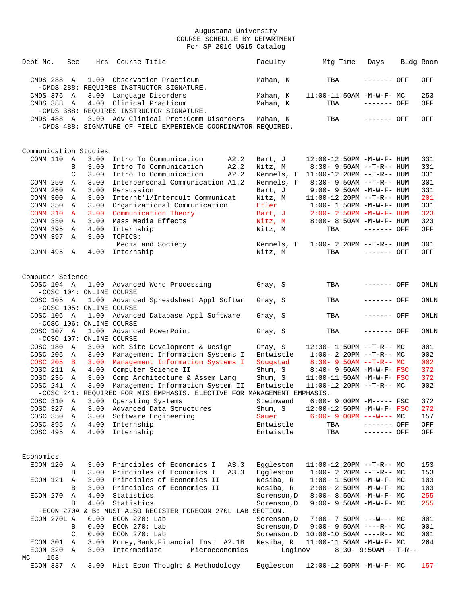| Dept No.                       | Sec            | Hrs                      | Course Title                                                            | Faculty                | Mtg Time                                              | Days                   | Bldg Room  |
|--------------------------------|----------------|--------------------------|-------------------------------------------------------------------------|------------------------|-------------------------------------------------------|------------------------|------------|
| CMDS 288 A                     |                |                          | 1.00 Observation Practicum<br>-CMDS 288: REQUIRES INSTRUCTOR SIGNATURE. | Mahan, K               | TBA                                                   | ------- OFF            | OFF        |
| CMDS 376                       | A              |                          | 3.00 Language Disorders                                                 | Mahan, K               | $11:00-11:50AM$ -M-W-F- MC                            |                        | 253        |
| CMDS 388                       | A              | 4.00                     | Clinical Practicum                                                      | Mahan, K               | TBA                                                   | ------- OFF            | OFF        |
|                                |                |                          | -CMDS 388: REQUIRES INSTRUCTOR SIGNATURE.                               |                        |                                                       |                        |            |
| CMDS 488 A                     |                |                          | 3.00 Adv Clinical Prct: Comm Disorders                                  | Mahan, K               | TBA                                                   | ------- OFF            | OFF        |
|                                |                |                          | -CMDS 488: SIGNATURE OF FIELD EXPERIENCE COORDINATOR REQUIRED.          |                        |                                                       |                        |            |
|                                |                |                          |                                                                         |                        |                                                       |                        |            |
| Communication Studies          |                |                          |                                                                         |                        |                                                       |                        |            |
| COMM 110                       | A              | 3.00                     | Intro To Communication<br>A2.2                                          | Bart, J                | 12:00-12:50PM -M-W-F- HUM                             |                        | 331        |
|                                | B              | 3.00                     | Intro To Communication<br>A2.2                                          | Nitz, M                | $8:30 - 9:50AM -T-R-- HUM$                            |                        | 331        |
|                                | C              | 3.00                     | Intro To Communication<br>A2.2                                          | Rennels, T             | $11:00-12:20PM$ --T-R-- HUM                           |                        | 331        |
| COMM 250                       | A              | 3.00                     | Interpersonal Communication A1.2                                        | Rennels, T             | $8:30 - 9:50AM -T-R-- HUM$                            |                        | 301        |
| COMM 260                       | A              | 3.00                     | Persuasion                                                              | Bart, J                | 9:00- 9:50AM -M-W-F- HUM                              |                        | 331        |
| COMM 300                       | Α              | 3.00                     | Internt'l/Intercult Communicat                                          | Nitz, M                | $11:00-12:20PM$ --T-R-- HUM                           |                        | 201        |
| COMM 350                       | Α              | 3.00                     | Organizational Communication                                            | Etler                  | $1:00 - 1:50PM - M - W - F - HUM$                     |                        | 331        |
| <b>COMM 310</b>                | A              | 3.00                     | Communication Theory                                                    | Bart, J                | $2:00 - 2:50PM - M - W - F - HUM$                     |                        | 323        |
| COMM 380                       | Α              | 3.00                     | Mass Media Effects                                                      | Nitz, M                | 8:00- 8:50AM -M-W-F- HUM                              |                        | 323        |
| COMM 395                       | Α              | 4.00                     | Internship                                                              | Nitz, M                | TBA                                                   | $------$ OFF           | OFF        |
| COMM 397                       | A              | 3.00                     | TOPICS:                                                                 |                        |                                                       |                        |            |
|                                |                |                          | Media and Society                                                       | Rennels, T             | $1:00-2:20PM -T-R--HUM$                               |                        | 301        |
| COMM 495 A                     |                | 4.00                     | Internship                                                              | Nitz, M                | TBA                                                   | $------$ OFF           | OFF        |
|                                |                |                          |                                                                         |                        |                                                       |                        |            |
| Computer Science<br>COSC 104 A |                |                          |                                                                         |                        | TBA                                                   | ------- OFF            | ONLN       |
|                                |                | -COSC 104: ONLINE COURSE | 1.00 Advanced Word Processing                                           | Gray, S                |                                                       |                        |            |
|                                |                |                          |                                                                         |                        |                                                       |                        |            |
| COSC 105 A                     |                | 1.00                     | Advanced Spreadsheet Appl Softwr                                        | Gray, S                | TBA                                                   | ------- OFF            | ONLN       |
|                                |                | -COSC 105: ONLINE COURSE |                                                                         |                        |                                                       | ------- OFF            |            |
| COSC 106 A                     |                | 1.00                     | Advanced Database Appl Software                                         | Gray, S                | TBA                                                   |                        | ONLN       |
|                                |                | -COSC 106: ONLINE COURSE |                                                                         |                        |                                                       |                        |            |
| COSC 107 A                     |                | 1.00                     | Advanced PowerPoint                                                     | Gray, S                | TBA                                                   | ------- OFF            | ONLN       |
|                                |                | -COSC 107: ONLINE COURSE |                                                                         |                        |                                                       |                        |            |
| COSC 180<br>COSC 205           | A              | 3.00                     | Web Site Development & Design                                           | Gray, S<br>Entwistle   | $12:30 - 1:50PM -T-R-- MC$<br>$1:00-2:20PM --T-R--MC$ |                        | 001<br>002 |
|                                | A              | 3.00                     | Management Information Systems I                                        |                        |                                                       |                        |            |
| <b>COSC 205</b>                | $\overline{B}$ | 3.00                     | Management Information Systems I                                        | Sougstad               | $8:30 - 9:50AM -T-R-- MC$                             |                        | 002        |
| COSC 211                       | A              | 4.00                     | Computer Science II                                                     | Shum, S                | $8:40 - 9:50AM$ -M-W-F- FSC                           |                        | 372        |
| COSC 236                       | $\mathbb{A}$   | 3.00                     | Comp Architecture & Assem Lang                                          | Shum, S                | $11:00-11:50AM$ -M-W-F- FSC                           |                        | 372        |
| COSC 241 A                     |                | 3.00                     | Management Information System II                                        | Entwistle              | $11:00-12:20PM$ --T-R-- MC                            |                        | 002        |
|                                |                |                          | -COSC 241: REOUIRED FOR MIS EMPHASIS. ELECTIVE FOR MANAGEMENT EMPHASIS. |                        |                                                       |                        |            |
| COSC 310 A                     |                |                          | 3.00 Operating Systems                                                  | Steinwand              | $6:00-9:00PM -M---FSC$                                |                        | 372        |
| COSC 327                       | Α              | 3.00                     | Advanced Data Structures                                                | Shum, S                | $12:00-12:50PM -M-W-F- FSC$                           |                        | 272        |
| COSC 350                       | Α              | 3.00                     | Software Engineering                                                    | Sauer                  | $6:00 - 9:00PM$ ---W--- MC                            |                        | 157        |
| COSC 395                       | Α              | 4.00                     | Internship                                                              | Entwistle              | TBA                                                   | ------- OFF            | OFF        |
| COSC 495 A                     |                | 4.00                     | Internship                                                              | Entwistle              | TBA                                                   | ------- OFF            | OFF        |
|                                |                |                          |                                                                         |                        |                                                       |                        |            |
| Economics                      |                |                          | Principles of Economics I                                               |                        |                                                       |                        |            |
| ECON 120                       | Α              | 3.00<br>3.00             | A3.3<br>Principles of Economics I                                       | Eggleston<br>Eqqleston | $11:00-12:20PM$ --T-R-- MC<br>$1:00-2:20PM -T-R--MC$  |                        | 153        |
|                                | В              |                          | A3.3                                                                    |                        |                                                       |                        | 153        |
| ECON 121                       | A              | 3.00                     | Principles of Economics II                                              | Nesiba, R              | $1:00 - 1:50PM - M - W - F - MC$                      |                        | 103        |
|                                | B              | 3.00                     | Principles of Economics II                                              | Nesiba, R              | 2:00- 2:50PM -M-W-F- MC                               |                        | 103        |
| ECON 270                       | Α              | 4.00                     | Statistics                                                              | Sorenson, D            | $8:00 - 8:50AM - M - W - F - MC$                      |                        | 255        |
|                                | B              | 4.00                     | Statistics                                                              | Sorenson, D            | 9:00- 9:50AM -M-W-F- MC                               |                        | 255        |
|                                |                |                          | -ECON 270A & B: MUST ALSO REGISTER FORECON 270L LAB SECTION.            |                        |                                                       |                        |            |
| ECON 270L A                    |                | 0.00                     | ECON 270: Lab                                                           | Sorenson, D            | $7:00-7:50PM$ ---W--- MC                              |                        | 001        |
|                                | В              | 0.00                     | ECON 270: Lab                                                           | Sorenson, D            | $9:00 - 9:50AM$ ----R-- MC                            |                        | 001        |
|                                | C              | 0.00                     | ECON 270: Lab                                                           | Sorenson, D            | $10:00-10:50AM$ ----R-- MC                            |                        | 001        |
| ECON 301                       | Α              | 3.00                     | Money, Bank, Financial Inst A2.1B                                       | Nesiba, R              | $11:00-11:50AM$ -M-W-F- MC                            |                        | 264        |
| ECON 320                       | A              | 3.00                     | Intermediate<br>Microeconomics                                          | Loginov                |                                                       | $8:30 - 9:50AM -T-R--$ |            |
| 153<br>МC                      |                |                          |                                                                         |                        |                                                       |                        |            |
| ECON 337                       | A              |                          | 3.00 Hist Econ Thought & Methodology                                    | Eggleston              | 12:00-12:50PM -M-W-F- MC                              |                        | 157        |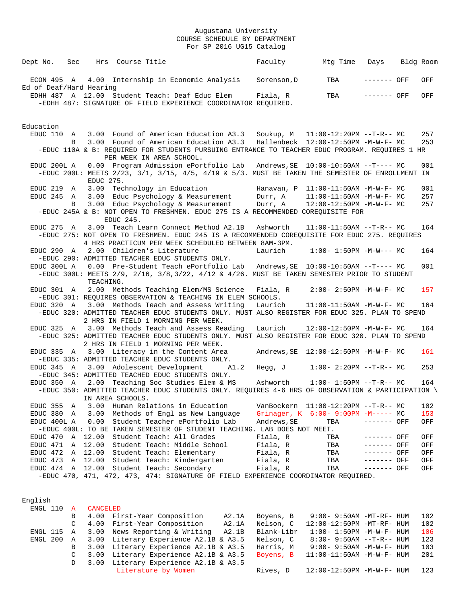| Dept No.                              | Sec |           | Hrs Course Title            |                                                                                                                                                                                                                                                         | Faculty     | Mtg Time                                  | Days         | Bldg Room  |
|---------------------------------------|-----|-----------|-----------------------------|---------------------------------------------------------------------------------------------------------------------------------------------------------------------------------------------------------------------------------------------------------|-------------|-------------------------------------------|--------------|------------|
| ECON 495 A<br>Ed of Deaf/Hard Hearing |     |           |                             | 4.00 Internship in Economic Analysis                                                                                                                                                                                                                    | Sorenson, D | TBA                                       | $------$ OFF | OFF        |
|                                       |     |           |                             | EDHH 487 A 12.00 Student Teach: Deaf Educ Elem<br>-EDHH 487: SIGNATURE OF FIELD EXPERIENCE COORDINATOR REQUIRED.                                                                                                                                        | Fiala, R    | TBA                                       | ------- OFF  | OFF        |
| Education                             |     |           |                             |                                                                                                                                                                                                                                                         |             |                                           |              |            |
| EDUC 110 A                            | B   |           | PER WEEK IN AREA SCHOOL.    | 3.00 Found of American Education A3.3 Soukup, M 11:00-12:20PM --T-R-- MC<br>3.00 Found of American Education A3.3 Hallenbeck 12:00-12:50PM -M-W-F- MC<br>-EDUC 110A & B: REQUIRED FOR STUDENTS PURSUING ENTRANCE TO TEACHER EDUC PROGRAM. REQUIRES 1 HR |             |                                           |              | 257<br>253 |
| EDUC 200L A                           |     | EDUC 275. |                             | 0.00 Program Admission ePortfolio Lab Andrews, SE 10:00-10:50AM --T---- MC<br>-EDUC 200L: MEETS 2/23, 3/1, 3/15, 4/5, 4/19 & 5/3. MUST BE TAKEN THE SEMESTER OF ENROLLMENT IN                                                                           |             |                                           |              | 001        |
| EDUC 219 A                            |     | 3.00      | Technology in Education     |                                                                                                                                                                                                                                                         |             | Hanavan, $P$ 11:00-11:50AM -M-W-F- MC     |              | 001        |
| EDUC 245 A                            |     |           |                             | 3.00 Educ Psychology & Measurement                                                                                                                                                                                                                      | Durr, A     | $11:00-11:50AM$ -M-W-F- MC                |              | 257        |
|                                       | B   |           | EDUC 245.                   | 3.00 Educ Psychology & Measurement<br>-EDUC 245A & B: NOT OPEN TO FRESHMEN. EDUC 275 IS A RECOMMENDED COREQUISITE FOR                                                                                                                                   | Durr, A     | $12:00-12:50PM -M-W-F-MC$                 |              | 257        |
| EDUC 275 A                            |     |           |                             | 3.00 Teach Learn Connect Method A2.1B Ashworth<br>-EDUC 275: NOT OPEN TO FRESHMEN. EDUC 245 IS A RECOMMENDED COREQUISITE FOR EDUC 275. REQUIRES<br>4 HRS PRACTICUM PER WEEK SCHEDULED BETWEEN 8AM-3PM.                                                  |             | $11:00-11:50AM$ --T-R-- MC                |              | 164        |
| EDUC 290 A                            |     |           | 2.00 Children's Literature  | -EDUC 290: ADMITTED TEACHER EDUC STUDENTS ONLY.                                                                                                                                                                                                         | Laurich     | $1:00-1:50PM -M-W--- MC$                  |              | 164        |
| EDUC 300L A                           |     | TEACHING. |                             | 0.00 Pre-Student Teach ePortfolio Lab Andrews, SE 10:00-10:50AM --T---- MC<br>-EDUC 300L: MEETS 2/9, 2/16, 3/8, 3/22, 4/12 & 4/26. MUST BE TAKEN SEMESTER PRIOR TO STUDENT                                                                              |             |                                           |              | 001        |
| EDUC 301 A                            |     |           |                             | 2.00 Methods Teaching Elem/MS Science<br>-EDUC 301: REQUIRES OBSERVATION & TEACHING IN ELEM SCHOOLS.                                                                                                                                                    | Fiala, R    | $2:00-2:50PM -M-W-F-MC$                   |              | 157        |
|                                       |     |           |                             | EDUC 320 A 3.00 Methods Teach and Assess Writing<br>-EDUC 320: ADMITTED TEACHER EDUC STUDENTS ONLY. MUST ALSO REGISTER FOR EDUC 325. PLAN TO SPEND<br>2 HRS IN FIELD 1 MORNING PER WEEK.                                                                | Laurich     | 11:00-11:50AM -M-W-F- MC                  |              | 164        |
|                                       |     |           |                             | EDUC 325 A 3.00 Methods Teach and Assess Reading<br>-EDUC 325: ADMITTED TEACHER EDUC STUDENTS ONLY. MUST ALSO REGISTER FOR EDUC 320. PLAN TO SPEND<br>2 HRS IN FIELD 1 MORNING PER WEEK.                                                                | Laurich     | 12:00-12:50PM -M-W-F- MC                  |              | 164        |
|                                       |     |           |                             | EDUC 335 A 3.00 Literacy in the Content Area<br>-EDUC 335: ADMITTED TEACHER EDUC STUDENTS ONLY.                                                                                                                                                         |             | Andrews, $SE$ $12:00-12:50PM$ $-M-W-F-MC$ |              | 161        |
| EDUC 345 A                            |     |           | 3.00 Adolescent Development | A1.2<br>-EDUC 345: ADMITTED TEACHED EDUC STUDENTS ONLY.                                                                                                                                                                                                 | Hegg, J     | $1:00-2:20PM -T-R--MC$                    |              | 253        |
| EDUC 350 A                            |     |           | IN AREA SCHOOLS.            | 2.00 Teaching Soc Studies Elem & MS<br>-EDUC 350: ADMITTED TEACHER EDUC STUDENTS ONLY. REQUIRES 4-6 HRS OF OBSERVATION & PARTICIPATION                                                                                                                  | Ashworth    | $1:00-1:50PM -T-R--MC$                    |              | 164        |
| EDUC 355                              | Α   | 3.00      |                             | Human Relations in Education                                                                                                                                                                                                                            |             | VanBockern 11:00-12:20PM --T-R-- MC       |              | 102        |
| EDUC 380                              | A   | 3.00      |                             | Methods of Engl as New Language                                                                                                                                                                                                                         |             | Grinager, K 6:00- 9:00PM -M----- MC       |              | 153        |
| EDUC 400L A                           |     | 0.00      |                             | Student Teacher ePortfolio Lab<br>-EDUC 400L: TO BE TAKEN SEMESTER OF STUDENT TEACHING. LAB DOES NOT MEET.                                                                                                                                              | Andrews, SE | TBA                                       | ------- OFF  | OFF        |
| EDUC 470                              | Α   | 12.00     |                             | Student Teach: All Grades                                                                                                                                                                                                                               | Fiala, R    | TBA                                       | ------- OFF  | OFF        |
| EDUC 471                              | Α   | 12.00     |                             | Student Teach: Middle School                                                                                                                                                                                                                            | Fiala, R    | TBA                                       | ------- OFF  | OFF        |
| EDUC 472                              | Α   | 12.00     |                             | Student Teach: Elementary                                                                                                                                                                                                                               | Fiala, R    | TBA                                       | ------- OFF  | OFF        |
| EDUC 473                              | Α   | 12.00     |                             | Student Teach: Kindergarten                                                                                                                                                                                                                             | Fiala, R    | TBA                                       | ------- OFF  | OFF        |
| EDUC 474 A                            |     |           |                             | 12.00 Student Teach: Secondary                                                                                                                                                                                                                          | Fiala, R    | TBA                                       | ------- OFF  | OFF        |
|                                       |     |           |                             | -EDUC 470, 471, 472, 473, 474: SIGNATURE OF FIELD EXPERIENCE COORDINATOR REQUIRED.                                                                                                                                                                      |             |                                           |              |            |

| English    |               |          |                                       |       |            |                                   |     |  |
|------------|---------------|----------|---------------------------------------|-------|------------|-----------------------------------|-----|--|
| ENGL 110   | <b>A</b>      | CANCELED |                                       |       |            |                                   |     |  |
|            | B             |          | 4.00 First-Year Composition           | A2.1A | Boyens, B  | $9:00-9:50AM - MT-RF - HUM$       | 102 |  |
|            | $\mathcal{C}$ |          | 4.00 First-Year Composition           | A2.1A | Nelson, C  | $12:00-12:50PM$ -MT-RF- HUM       | 102 |  |
| ENGL 115 A |               |          | 3.00 News Reporting & Writing         | A2.1B | Blank-Libr | $1:00 - 1:50PM - M - W - F - HUM$ | 106 |  |
| ENGL 200   | $\mathbf{A}$  |          | 3.00 Literary Experience A2.1B & A3.5 |       | Nelson, C  | $8:30 - 9:50AM -T-R - HUM$        | 123 |  |
|            | B             |          | 3.00 Literary Experience A2.1B & A3.5 |       | Harris, M  | $9:00 - 9:50AM - M - W - F - HUM$ | 103 |  |
|            | C             |          | 3.00 Literary Experience A2.1B & A3.5 |       | Boyens, B  | $11:00-11:50$ AM $-M-W-F-$ HUM    | 201 |  |
|            | D             |          | 3.00 Literary Experience A2.1B & A3.5 |       |            |                                   |     |  |
|            |               |          | Literature by Women                   |       | Rives, D   | 12:00-12:50PM -M-W-F- HUM         | 123 |  |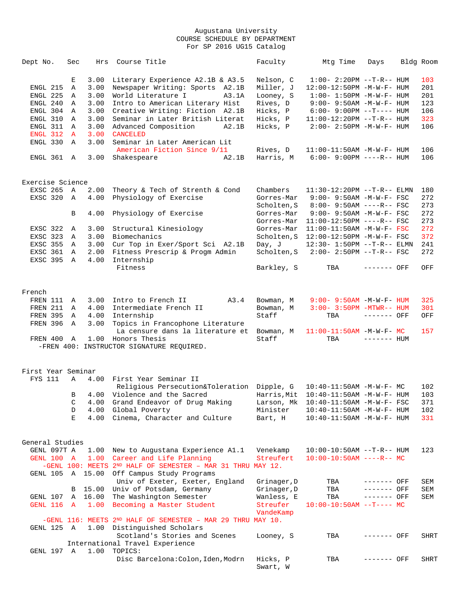| Dept No.           | Sec          | Hrs     | Course Title                                                         | Faculty              | Mtg Time                                  | Days         | Bldg Room |
|--------------------|--------------|---------|----------------------------------------------------------------------|----------------------|-------------------------------------------|--------------|-----------|
|                    | Е            | 3.00    | Literary Experience A2.1B & A3.5                                     | Nelson, C            | $1:00 - 2:20PM -T-R--HUM$                 |              | 103       |
| ENGL 215           | Α            | 3.00    | Newspaper Writing: Sports A2.1B                                      | Miller, J            | 12:00-12:50PM -M-W-F- HUM                 |              | 201       |
| ENGL 225           | Α            | 3.00    | World Literature I<br>A3.1A                                          | Looney, S            | $1:00 - 1:50PM - M - W - F - HUM$         |              | 201       |
| ENGL 240           | Α            | 3.00    | Intro to American Literary Hist                                      | Rives, D             | $9:00 - 9:50AM - M - W - F - HUM$         |              | 123       |
| ENGL 304           | Α            | 3.00    | Creative Writing: Fiction A2.1B                                      | Hicks, P             | $6:00-9:00PM --T--- HUM$                  |              | 106       |
| ENGL 310           | Α            | 3.00    | Seminar in Later British Literat                                     | Hicks, P             | $11:00-12:20PM$ --T-R-- HUM               |              | 323       |
| ENGL 311           | Α            | 3.00    | Advanced Composition<br>A2.1B                                        | Hicks, P             | $2:00 - 2:50PM -M-W-F - HUM$              |              | 106       |
| ENGL 312           | $\mathbf{A}$ | 3.00    | <b>CANCELED</b>                                                      |                      |                                           |              |           |
| ENGL 330           | Α            | 3.00    | Seminar in Later American Lit                                        |                      |                                           |              |           |
|                    |              |         | American Fiction Since 9/11                                          | Rives, D             | $11:00-11:50AM$ -M-W-F- HUM               |              | 106       |
| ENGL 361           | Α            | 3.00    | Shakespeare<br>A2.1B                                                 | Harris, M            | 6:00- 9:00PM ----R-- HUM                  |              | 106       |
| Exercise Science   |              |         |                                                                      |                      |                                           |              |           |
| EXSC 265 A         |              | 2.00    | Theory & Tech of Strenth & Cond                                      | Chambers             | $11:30-12:20PM --T-R--ELMN$               |              | 180       |
| EXSC 320           | A            | 4.00    | Physiology of Exercise                                               | Gorres-Mar           | 9:00- 9:50AM -M-W-F- FSC                  |              | 272       |
|                    |              |         |                                                                      | Scholten, S          | $8:00 - 9:50AM$ ----R-- FSC               |              | 273       |
|                    | В            | 4.00    | Physiology of Exercise                                               | Gorres-Mar           | 9:00- 9:50AM -M-W-F- FSC                  |              | 272       |
|                    |              |         |                                                                      | Gorres-Mar           | $11:00-12:50PM$ ----R-- FSC               |              | 273       |
| EXSC 322           | Α            | 3.00    | Structural Kinesiology                                               | Gorres-Mar           | $11:00-11:50AM$ -M-W-F- FSC               |              | 272       |
| EXSC 323           | Α            | 3.00    | Biomechanics                                                         | Scholten, S          | 12:00-12:50PM -M-W-F- FSC                 |              | 372       |
| EXSC 355           | Α            | 3.00    | Cur Top in Exer/Sport Sci A2.1B                                      | Day, J               | 12:30- 1:50PM --T-R-- ELMN                |              | 241       |
| EXSC 361           | Α            | 2.00    | Fitness Prescrip & Progm Admin                                       | Scholten, S          | 2:00- 2:50PM --T-R-- FSC                  |              | 272       |
| EXSC 395           | Α            | 4.00    | Internship                                                           |                      |                                           |              |           |
|                    |              |         | Fitness                                                              | Barkley, S           | TBA                                       | ------- OFF  | OFF       |
|                    |              |         |                                                                      |                      |                                           |              |           |
| French             |              |         |                                                                      |                      |                                           |              |           |
| FREN 111           | Α            | 3.00    | Intro to French II<br>A3.4                                           | Bowman, M            | $9:00 - 9:50AM - M - W - F - HUM$         |              | 325       |
| FREN 211           | Α            | 4.00    | Intermediate French II                                               | Bowman, M            | $3:00 - 3:50PM - MTWR - - HUM$            |              | 301       |
| FREN 395           | Α            | 4.00    | Internship                                                           | Staff                | TBA                                       | ------- OFF  | OFF       |
| FREN 396           | Α            | 3.00    | Topics in Francophone Literature                                     |                      |                                           |              |           |
|                    |              |         | La censure dans la literature et                                     | Bowman, M            | $11:00-11:50AM$ -M-W-F- MC                |              | 157       |
| FREN 400           | Α            |         | 1.00 Honors Thesis                                                   | Staff                | TBA                                       | $------$ HUM |           |
|                    |              |         | -FREN 400: INSTRUCTOR SIGNATURE REQUIRED.                            |                      |                                           |              |           |
| First Year Seminar |              |         |                                                                      |                      |                                           |              |           |
| FYS 111            | Α            | 4.00    | First Year Seminar II                                                |                      |                                           |              |           |
|                    |              |         | Religious Persecution&Toleration Dipple, G                           |                      | 10:40-11:50AM -M-W-F- MC                  |              | 102       |
|                    | B            |         | 4.00 Violence and the Sacred                                         |                      | Harris, Mit $10:40-11:50AM - M-W-F - HUM$ |              | 103       |
|                    | С            | 4.00    | Grand Endeavor of Drug Making                                        | Larson, Mk           | 10:40-11:50AM -M-W-F- FSC                 |              | 371       |
|                    | D            | 4.00    | Global Poverty                                                       | Minister             | 10:40-11:50AM -M-W-F- HUM                 |              | 102       |
|                    | Ε            | 4.00    | Cinema, Character and Culture                                        | Bart, H              | $10:40 - 11:50$ AM $-M-W-F-$ HUM          |              | 331       |
| General Studies    |              |         |                                                                      |                      |                                           |              |           |
| GENL 097T A        |              | 1.00    | New to Augustana Experience A1.1                                     | Venekamp             | 10:00-10:50AM --T-R-- HUM                 |              | 123       |
| GENL 100 A         |              | 1.00    | Career and Life Planning                                             | Streufert            | $10:00-10:50AM$ ----R-- MC                |              |           |
|                    |              |         | $-GENL$ 100: MEETS 2ND HALF OF SEMESTER - MAR 31 THRU MAY 12.        |                      |                                           |              |           |
| GENL 105           |              |         | A 15.00 Off Campus Study Programs<br>Univ of Exeter, Exeter, England | Grinager, D          | TBA                                       | ------- OFF  | SEM       |
|                    | B            | 15.00   | Univ of Potsdam, Germany                                             | Grinager, D          | TBA                                       | ------- OFF  | SEM       |
| GENL 107           |              | A 16.00 | The Washington Semester                                              | Wanless, E           | TBA                                       | ------- OFF  | SEM       |
| GENL 116           | $\mathbf{A}$ |         | 1.00 Becoming a Master Student                                       | Streufer             | $10:00-10:50AM$ --T---- MC                |              |           |
|                    |              |         |                                                                      | VandeKamp            |                                           |              |           |
|                    |              |         | $-GENL$ 116: MEETS 2ND HALF OF SEMESTER - MAR 29 THRU MAY 10.        |                      |                                           |              |           |
| GENL 125 A         |              |         | 1.00 Distinguished Scholars                                          |                      |                                           |              |           |
|                    |              |         | Scotland's Stories and Scenes                                        | Looney, S            | TBA                                       | ------- OFF  | SHRT      |
|                    |              |         | International Travel Experience                                      |                      |                                           |              |           |
| GENL 197 A         |              |         | 1.00 TOPICS:                                                         |                      |                                           |              |           |
|                    |              |         | Disc Barcelona: Colon, Iden, Modrn                                   | Hicks, P<br>Swart, W | TBA                                       | ------- OFF  | SHRT      |
|                    |              |         |                                                                      |                      |                                           |              |           |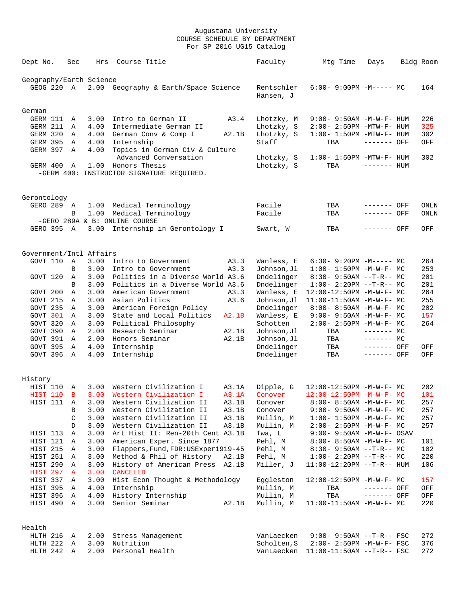| Dept No.                | Sec          | Hrs  | Course Title                                            |       | Faculty                 | Mtg Time                           | Days         | Bldg Room |
|-------------------------|--------------|------|---------------------------------------------------------|-------|-------------------------|------------------------------------|--------------|-----------|
| Geography/Earth Science |              |      |                                                         |       |                         |                                    |              |           |
| GEOG 220 A              |              |      | 2.00 Geography & Earth/Space Science                    |       | Rentschler<br>Hansen, J | $6:00-9:00PM -M--- MC$             |              | 164       |
| German                  |              |      |                                                         |       |                         |                                    |              |           |
| GERM 111                | A            | 3.00 | Intro to German II                                      | A3.4  | Lhotzky, M              | $9:00 - 9:50AM - M - W - F - HUM$  |              | 226       |
| GERM 211                | Α            | 4.00 | Intermediate German II                                  |       | Lhotzky, S              | $2:00-2:50PM -MTW-F-HUM$           |              | 325       |
| GERM 320                | Α            | 4.00 | German Conv & Comp I                                    | A2.1B | Lhotzky, S              | $1:00-1:50PM -MTW-F-HUM$           |              | 302       |
| <b>GERM 395</b>         | Α            | 4.00 | Internship                                              |       | Staff                   | TBA                                | ------- OFF  | OFF       |
| GERM 397                | Α            | 4.00 | Topics in German Civ & Culture<br>Advanced Conversation |       | Lhotzky, S              | $1:00-1:50PM - MTW-F-HUM$          |              | 302       |
| GERM 400                | A            |      | 1.00 Honors Thesis                                      |       | Lhotzky, S              | TBA                                | $------$ HUM |           |
|                         |              |      | -GERM 400: INSTRUCTOR SIGNATURE REQUIRED.               |       |                         |                                    |              |           |
| Gerontology             |              |      |                                                         |       |                         |                                    |              |           |
| GERO 289 A              |              | 1.00 | Medical Terminology                                     |       | Facile                  | TBA                                | ------- OFF  | ONLN      |
|                         | B            | 1.00 | Medical Terminology                                     |       | Facile                  | TBA                                | ------- OFF  | ONLN      |
|                         |              |      | -GERO 289A & B: ONLINE COURSE                           |       |                         |                                    |              |           |
| GERO 395 A              |              | 3.00 | Internship in Gerontology I                             |       | Swart, W                | TBA                                | ------- OFF  | OFF       |
| Government/Intl Affairs |              |      |                                                         |       |                         |                                    |              |           |
| GOVT 110                | $\mathbb{A}$ | 3.00 | Intro to Government                                     | A3.3  | Wanless, E              | $6:30 - 9:20PM -M--- MC$           |              | 264       |
|                         | B            | 3.00 | Intro to Government                                     | A3.3  | Johnson,Jl              | $1:00 - 1:50PM - M - W - F - MC$   |              | 253       |
| GOVT 120                | Α            | 3.00 | Politics in a Diverse World A3.6                        |       | Dndelinger              | $8:30 - 9:50AM -T-R-- MC$          |              | 201       |
|                         | B            | 3.00 | Politics in a Diverse World A3.6                        |       | Dndelinger              | $1:00-2:20PM -T-R--MC$             |              | 201       |
| GOVT 200                | Α            | 3.00 | American Government                                     | A3.3  | Wanless, E              | 12:00-12:50PM -M-W-F- MC           |              | 264       |
| GOVT 215                | Α            | 3.00 | Asian Politics                                          | A3.6  | Johnson, Jl             | 11:00-11:50AM -M-W-F- MC           |              | 255       |
| GOVT 235                | Α            | 3.00 | American Foreign Policy                                 |       | Dndelinger              | $8:00 - 8:50AM$ -M-W-F- MC         |              | 202       |
| GOVT 301                | Α            | 3.00 | State and Local Politics                                | A2.1B | Wanless, E              | $9:00 - 9:50AM - M - W - F - MC$   |              | 157       |
| GOVT 320                | Α            | 3.00 | Political Philosophy                                    |       | Schotten                | $2:00 - 2:50PM -M-W-F-MC$          |              | 264       |
| GOVT 390                | Α            | 2.00 | Research Seminar                                        | A2.1B | Johnson, Jl             | TBA                                | $------$ MC  |           |
| GOVT 391                | Α            | 2.00 | Honors Seminar                                          | A2.1B | Johnson, Jl             | TBA                                | $------MC$   |           |
| GOVT 395                | Α            | 4.00 | Internship                                              |       | Dndelinger              | TBA                                | ------- OFF  | OFF       |
| GOVT 396 A              |              | 4.00 | Internship                                              |       | Dndelinger              | TBA                                | ------- OFF  | OFF       |
| History                 |              |      |                                                         |       |                         |                                    |              |           |
| HIST 110                | A            | 3.00 | Western Civilization I                                  | A3.1A | Dipple, G               | $12:00-12:50PM -M-W-F-MC$          |              | 202       |
| HIST 110                | B            | 3.00 | Western Civilization I                                  | A3.1A | Conover                 | $12:00-12:50PM -M-W-F-MC$          |              | 101       |
| HIST 111 A              |              |      | 3.00 Western Civilization II                            | A3.1B | Conover                 | 8:00- 8:50AM -M-W-F- MC            |              | 257       |
|                         | В            | 3.00 | Western Civilization II                                 | A3.1B | Conover                 | $9:00 - 9:50AM - M - W - F - MC$   |              | 257       |
|                         | C            | 3.00 | Western Civilization II                                 | A3.1B | Mullin, M               | $1:00 - 1:50PM -M-W-F - MC$        |              | 257       |
|                         | D            | 3.00 | Western Civilization II                                 | A3.1B | Mullin, M               | $2:00 - 2:50PM -M-W-F - MC$        |              | 257       |
| HIST 113                | Α            | 3.00 | Art Hist II: Ren-20th Cent A3.1B                        |       | Twa, L                  | $9:00 - 9:50AM - M - W - F - OSAV$ |              |           |
| HIST 121                | A            | 3.00 | American Exper. Since 1877                              |       | Pehl, M                 | $8:00 - 8:50AM$ -M-W-F- MC         |              | 101       |
| HIST 215 A              |              | 3.00 | Flappers, Fund, FDR: USExper1919-45                     |       | Pehl, M                 | $8:30 - 9:50AM -T-R-- MC$          |              | 102       |
| HIST 251                | A            | 3.00 | Method & Phil of History                                | A2.1B | Pehl, M                 | $1:00-2:20PM -T-R--MC$             |              | 220       |
| HIST 290                | Α            | 3.00 | History of American Press A2.1B                         |       | Miller, J               | $11:00-12:20PM -T-R--HUM$          |              | 106       |
| HIST 297                | A            | 3.00 | CANCELED                                                |       |                         |                                    |              |           |
| HIST 337                | A            | 3.00 | Hist Econ Thought & Methodology                         |       | Eggleston               | 12:00-12:50PM -M-W-F- MC           |              | 157       |
| HIST 395 A              |              | 4.00 | Internship                                              |       | Mullin, M               | TBA                                | ------- OFF  | OFF       |
| HIST 396 A              |              | 4.00 | History Internship                                      |       | Mullin, M               | TBA                                | ------- OFF  | OFF       |
| HIST 490 A              |              | 3.00 | Senior Seminar                                          | A2.1B | Mullin, M               | $11:00-11:50AM$ -M-W-F- MC         |              | 220       |
| Health                  |              |      |                                                         |       |                         |                                    |              |           |
| HLTH 216 A              |              | 2.00 | Stress Management                                       |       | VanLaecken              | $9:00 - 9:50AM -T-R--FSC$          |              | 272       |
| HLTH 222 A              |              | 3.00 | Nutrition                                               |       | Scholten, S             | $2:00 - 2:50PM - M - W - F - FSC$  |              | 376       |
| HLTH 242 A              |              | 2.00 | Personal Health                                         |       | VanLaecken              | $11:00-11:50AM$ --T-R-- FSC        |              | 272       |
|                         |              |      |                                                         |       |                         |                                    |              |           |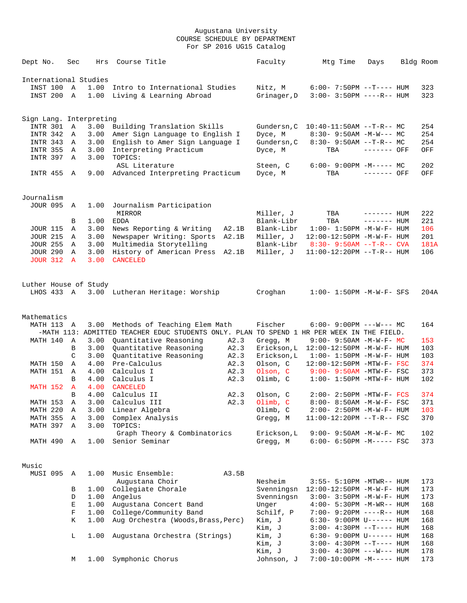| Dept No.                           | Sec               | Hrs                     | Course Title                                                                              |              | Faculty                    | Mtg Time                                                       | Days         | Bldg Room |            |
|------------------------------------|-------------------|-------------------------|-------------------------------------------------------------------------------------------|--------------|----------------------------|----------------------------------------------------------------|--------------|-----------|------------|
|                                    |                   | International Studies   |                                                                                           |              |                            |                                                                |              |           |            |
| INST 100                           | A                 | 1.00                    | Intro to International Studies                                                            |              | Nitz, M                    | $6:00 - 7:50PM -T--- HUM$                                      |              |           | 323        |
| INST 200                           | A                 | 1.00                    | Living & Learning Abroad                                                                  |              | Grinager, D                | $3:00 - 3:50PM$ ----R-- HUM                                    |              |           | 323        |
|                                    |                   | Sign Lang. Interpreting |                                                                                           |              |                            |                                                                |              |           |            |
| INTR 301                           | Α                 | 3.00                    | Building Translation Skills                                                               |              | Gundersn, C                | $10:40-11:50AM$ --T-R-- MC                                     |              |           | 254        |
| INTR 342                           | A                 | 3.00                    | Amer Sign Language to English I                                                           |              | Dyce, M                    | $8:30 - 9:50AM - M-W--- MC$                                    |              |           | 254        |
| INTR 343                           | Α                 | 3.00                    | English to Amer Sign Language I                                                           |              | Gundersn, C                | $8:30-9:50AM --T-R--MC$                                        |              |           | 254        |
| <b>INTR 355</b>                    | Α                 | 3.00                    | Interpreting Practicum                                                                    |              | Dyce, M                    | TBA                                                            | ------- OFF  |           | OFF        |
| INTR 397                           | Α                 | 3.00                    | TOPICS:                                                                                   |              |                            |                                                                |              |           |            |
| INTR 455 A                         |                   | 9.00                    | ASL Literature<br>Advanced Interpreting Practicum                                         |              | Steen, C<br>Dyce, M        | $6:00-9:00PM -M--- MC$<br>TBA                                  | ------- OFF  |           | 202<br>OFF |
|                                    |                   |                         |                                                                                           |              |                            |                                                                |              |           |            |
| Journalism                         |                   |                         |                                                                                           |              |                            |                                                                |              |           |            |
| <b>JOUR 095</b>                    | Α                 | 1.00                    | Journalism Participation                                                                  |              |                            |                                                                |              |           |            |
|                                    |                   |                         | MIRROR                                                                                    |              | Miller, J                  | TBA                                                            | ------- HUM  |           | 222        |
|                                    | В                 | 1.00                    | <b>EDDA</b>                                                                               |              | Blank-Libr                 | TBA                                                            | $------$ HUM |           | 221        |
| JOUR 115                           | Α                 | 3.00                    | News Reporting & Writing                                                                  | A2.1B        | Blank-Libr                 | $1:00 - 1:50PM - M - W - F - HUM$                              |              |           | 106        |
| <b>JOUR 215</b>                    | Α                 | 3.00                    | Newspaper Writing: Sports                                                                 | A2.1B        | Miller, J                  | 12:00-12:50PM -M-W-F- HUM                                      |              |           | 201        |
| <b>JOUR 255</b>                    | Α                 | 3.00                    | Multimedia Storytelling                                                                   |              | Blank-Libr                 | $8:30 - 9:50AM -T-R--CVA$                                      |              |           | 181A       |
| <b>JOUR 290</b><br><b>JOUR 312</b> | Α<br>$\mathbf{A}$ | 3.00<br>3.00            | History of American Press<br><b>CANCELED</b>                                              | A2.1B        | Miller, J                  | $11:00-12:20PM$ --T-R-- HUM                                    |              |           | 106        |
|                                    |                   |                         |                                                                                           |              |                            |                                                                |              |           |            |
|                                    |                   | Luther House of Study   |                                                                                           |              |                            |                                                                |              |           |            |
| LHOS 433 A                         |                   |                         | 3.00 Lutheran Heritage: Worship                                                           |              | Croghan                    | $1:00 - 1:50PM - M - W - F - SFS$                              |              |           | 204A       |
|                                    |                   |                         |                                                                                           |              |                            |                                                                |              |           |            |
| Mathematics                        |                   |                         |                                                                                           |              |                            |                                                                |              |           |            |
| MATH 113 A                         |                   | 3.00                    | Methods of Teaching Elem Math                                                             |              | Fischer                    | $6:00-9:00PM$ ---W--- MC                                       |              |           | 164        |
|                                    |                   |                         | -MATH 113: ADMITTED TEACHER EDUC STUDENTS ONLY. PLAN TO SPEND 1 HR PER WEEK IN THE FIELD. |              |                            |                                                                |              |           |            |
| MATH 140                           | Α                 | 3.00                    | Quantitative Reasoning                                                                    | A2.3         | Gregg, M                   | $9:00 - 9:50AM - M-W-F - MC$                                   |              |           | 153        |
|                                    | В<br>C            | 3.00<br>3.00            | Quantitative Reasoning<br>Quantitative Reasoning                                          | A2.3<br>A2.3 | Erickson, L<br>Erickson, L | 12:00-12:50PM -M-W-F- HUM<br>$1:00 - 1:50PM - M - W - F - HUM$ |              |           | 103<br>103 |
| MATH 150                           | Α                 | 4.00                    | Pre-Calculus                                                                              | A2.3         | Olson, C                   | 12:00-12:50PM -MTW-F- FSC                                      |              |           | 374        |
| MATH 151                           | Α                 | 4.00                    | Calculus I                                                                                | A2.3         | Olson, C                   | $9:00 - 9:50AM - MTW - F - FSC$                                |              |           | 373        |
|                                    | B                 | 4.00                    | Calculus I                                                                                | A2.3         | Olimb, C                   | $1:00-1:50PM -MTW-F-HUM$                                       |              |           | 102        |
| MATH 152                           | $\mathbf{A}$      | 4.00                    | <b>CANCELED</b>                                                                           |              |                            |                                                                |              |           |            |
|                                    | B                 | 4.00                    | Calculus II                                                                               | A2.3         | Olson, C                   | $2:00 - 2:50PM - MTW - F - FCS$                                |              |           | 374        |
| MATH 153                           | Α                 | 3.00                    | Calculus III                                                                              | A2.3         | Olimb, C                   | 8:00- 8:50AM -M-W-F- FSC                                       |              |           | 371        |
| MATH 220                           | Α                 | 3.00                    | Linear Algebra                                                                            |              | Olimb, C                   | 2:00- 2:50PM -M-W-F- HUM                                       |              |           | 103        |
| MATH 355                           | Α                 | 3.00                    | Complex Analysis                                                                          |              | Gregg, M                   | $11:00-12:20PM$ --T-R-- FSC                                    |              |           | 370        |
| MATH 397                           | Α                 | 3.00                    | TOPICS:                                                                                   |              |                            |                                                                |              |           |            |
|                                    |                   |                         | Graph Theory & Combinatorics                                                              |              | Erickson, L                | $9:00 - 9:50AM - M - W - F - MC$                               |              |           | 102        |
| MATH 490                           | A                 | 1.00                    | Senior Seminar                                                                            |              | Gregg, M                   | $6:00-6:50PM -M---FSC$                                         |              |           | 373        |
| Music                              |                   |                         |                                                                                           |              |                            |                                                                |              |           |            |
| MUSI 095                           | A                 | 1.00                    | Music Ensemble:                                                                           | A3.5B        |                            |                                                                |              |           |            |
|                                    |                   |                         | Augustana Choir                                                                           |              | Nesheim                    | 3:55- 5:10PM -MTWR-- HUM                                       |              |           | 173        |
|                                    | В                 | 1.00                    | Collegiate Chorale                                                                        |              | Svenningsn                 | 12:00-12:50PM -M-W-F- HUM                                      |              |           | 173        |
|                                    | D                 | 1.00                    | Angelus                                                                                   |              | Svenningsn                 | $3:00-3:50PM -M-W-F-HUM$                                       |              |           | 173        |
|                                    | Е                 | 1.00                    | Augustana Concert Band                                                                    |              | Unger                      | $4:00 - 5:30PM -M-WR-- HUM$                                    |              |           | 168        |
|                                    | F                 | 1.00                    | College/Community Band                                                                    |              | Schilf, P                  | 7:00- 9:20PM ----R-- HUM                                       |              |           | 168        |
|                                    | Κ                 | 1.00                    | Aug Orchestra (Woods, Brass, Perc)                                                        |              | Kim, J                     | 6:30- 9:00PM U------ HUM                                       |              |           | 168        |
|                                    |                   |                         |                                                                                           |              | Kim, J                     | $3:00-4:30PM -T--- HUM$                                        |              |           | 168        |
|                                    | L                 | 1.00                    | Augustana Orchestra (Strings)                                                             |              | Kim, J                     | 6:30- 9:00PM U------ HUM                                       |              |           | 168        |
|                                    |                   |                         |                                                                                           |              | Kim, J                     | 3:00- 4:30PM --T---- HUM                                       |              |           | 168        |
|                                    |                   |                         |                                                                                           |              | Kim, J                     | $3:00-4:30PM$ ---W--- HUM                                      |              |           | 178        |
|                                    | М                 | 1.00                    | Symphonic Chorus                                                                          |              | Johnson, J                 | 7:00-10:00PM -M----- HUM                                       |              |           | 173        |
|                                    |                   |                         |                                                                                           |              |                            |                                                                |              |           |            |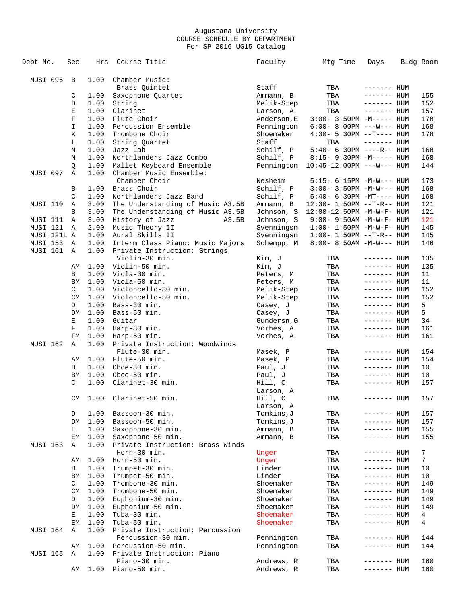| Dept No.        | Sec            | Hrs  | Course Title                     | Faculty     | Mtg Time                          | Days         | Bldg Room |
|-----------------|----------------|------|----------------------------------|-------------|-----------------------------------|--------------|-----------|
| MUSI 096        | $\overline{B}$ | 1.00 | Chamber Music:                   |             |                                   |              |           |
|                 |                |      | Brass Quintet                    | Staff       | TBA                               | $------$ HUM |           |
|                 | С              | 1.00 | Saxophone Quartet                | Ammann, B   | TBA                               | $------$ HUM | 155       |
|                 | D              | 1.00 | String                           | Melik-Step  | TBA                               | $------$ HUM | 152       |
|                 | Е              | 1.00 | Clarinet                         | Larson, A   | TBA                               | $------$ HUM | 157       |
|                 | $\mathbf F$    | 1.00 | Flute Choir                      | Anderson, E | $3:00 - 3:50PM -M-----$ HUM       |              | 178       |
|                 | I              | 1.00 | Percussion Ensemble              | Pennington  | $6:00-8:00PM$ ---W--- HUM         |              | 168       |
|                 | К              | 1.00 | Trombone Choir                   | Shoemaker   | $4:30 - 5:30PM -T--- HUM$         |              | 178       |
|                 | L              | 1.00 | String Ouartet                   | Staff       | TBA                               | $------$ HUM |           |
|                 | М              | 1.00 | Jazz Lab                         | Schilf, P   | $5:40-6:30PM$ ----R-- HUM         |              | 168       |
|                 | N              | 1.00 | Northlanders Jazz Combo          | Schilf, P   | $8:15-9:30PM -M-----$ HUM         |              | 168       |
|                 | Q              | 1.00 | Mallet Keyboard Ensemble         | Pennington  | $10:45-12:00PM$ ---W--- HUM       |              | 144       |
| MUSI 097        | Α              | 1.00 | Chamber Music Ensemble:          |             |                                   |              |           |
|                 |                |      | Chamber Choir                    | Nesheim     | 5:15- 6:15PM -M-W--- HUM          |              | 173       |
|                 |                | 1.00 | Brass Choir                      |             |                                   |              | 168       |
|                 | В              |      | Northlanders Jazz Band           | Schilf, P   | $3:00 - 3:50PM -M-W---$ HUM       |              |           |
|                 | C              | 1.00 |                                  | Schilf, P   | $5:40-6:30PM -MT--- HUM$          |              | 168       |
| MUSI 110        | Α              | 3.00 | The Understanding of Music A3.5B | Ammann, B   | $12:30 - 1:50PM -T-R--HUM$        |              | 121       |
|                 | B              | 3.00 | The Understanding of Music A3.5B | Johnson, S  | $12:00-12:50PM$ -M-W-F- HUM       |              | 121       |
| MUSI 111        | Α              | 3.00 | History of Jazz<br>A3.5B         | Johnson, S  | $9:00 - 9:50AM - M - W - F - HUM$ |              | 121       |
| MUSI 121        | Α              | 2.00 | Music Theory II                  | Svenningsn  | $1:00 - 1:50PM - M - W - F - HUM$ |              | 145       |
| MUSI 121L A     |                | 1.00 | Aural Skills II                  | Svenningsn  | $1:00 - 1:50PM -T-R--HUM$         |              | 145       |
| MUSI 153        | Α              | 1.00 | Interm Class Piano: Music Majors | Schempp, M  | $8:00 - 8:50AM - M-W---$ HUM      |              | 146       |
| MUSI 161        | Α              | 1.00 | Private Instruction: Strings     |             |                                   |              |           |
|                 |                |      | Violin-30 min.                   | Kim, J      | TBA                               | $------$ HUM | 135       |
|                 | AΜ             | 1.00 | Violin-50 min.                   | Kim, J      | TBA                               | $------$ HUM | 135       |
|                 | B              | 1.00 | Viola-30 min.                    | Peters, M   | TBA                               | ------- HUM  | 11        |
|                 | ВM             | 1.00 | Viola-50 min.                    | Peters, M   | TBA                               | $------$ HUM | 11        |
|                 | C              | 1.00 | Violoncello-30 min.              | Melik-Step  | TBA                               | $------$ HUM | 152       |
|                 | CM             | 1.00 | Violoncello-50 min.              | Melik-Step  | TBA                               | $------$ HUM | 152       |
|                 | D              | 1.00 | Bass-30 min.                     | Casey, J    | TBA                               | $------$ HUM | 5         |
|                 | DM             | 1.00 | Bass-50 min.                     | Casey, J    | TBA                               | ------- HUM  | 5         |
|                 | Е              | 1.00 | Guitar                           | Gundersn, G | TBA                               | $------$ HUM | 34        |
|                 | F              | 1.00 | Harp-30 min.                     | Vorhes, A   | TBA                               | $------$ HUM | 161       |
|                 | FM             | 1.00 | Harp-50 min.                     | Vorhes, A   | TBA                               | ------- HUM  | 161       |
| <b>MUSI 162</b> | Α              | 1.00 | Private Instruction: Woodwinds   |             |                                   |              |           |
|                 |                |      |                                  |             |                                   |              |           |
|                 |                |      | Flute-30 min.                    | Masek, P    | TBA                               | $------$ HUM | 154       |
|                 | AΜ             | 1.00 | Flute-50 min.                    | Masek, P    | TBA                               | $------$ HUM | 154       |
|                 | B              | 1.00 | Oboe-30 min.                     | Paul, J     | TBA                               | ------- HUM  | 10        |
|                 | ΒM             | 1.00 | Oboe-50 min.                     | Paul, J     | TBA                               | ------- HUM  | 10        |
|                 | C              | 1.00 | Clarinet-30 min.                 | Hill, C     | TBA                               | $------$ HUM | 157       |
|                 |                |      |                                  | Larson, A   |                                   |              |           |
|                 | CM             |      | 1.00 Clarinet-50 min.            | Hill, C     | TBA                               | $------$ HUM | 157       |
|                 |                |      |                                  | Larson, A   |                                   |              |           |
|                 | D              | 1.00 | Bassoon-30 min.                  | Tomkins,J   | TBA                               | $------$ HUM | 157       |
|                 | DM             | 1.00 | Bassoon-50 min.                  | Tomkins, J  | TBA                               | ------- HUM  | 157       |
|                 | Е              | 1.00 | Saxophone-30 min.                | Ammann, B   | TBA                               | ------- HUM  | 155       |
|                 | EМ             | 1.00 | Saxophone-50 min.                | Ammann, B   | TBA                               | ------- HUM  | 155       |
| MUSI 163        | Α              | 1.00 | Private Instruction: Brass Winds |             |                                   |              |           |
|                 |                |      | Horn-30 min.                     | Unger       | TBA                               | $------$ HUM | 7         |
|                 | AΜ             | 1.00 | Horn-50 min.                     | Unger       | TBA                               | ------- HUM  | 7         |
|                 | В              | 1.00 | Trumpet-30 min.                  | Linder      | TBA                               | ------- HUM  | 10        |
|                 | ΒM             | 1.00 | Trumpet-50 min.                  | Linder      | TBA                               | ------- HUM  | 10        |
|                 | C              | 1.00 | Trombone-30 min.                 | Shoemaker   | TBA                               | $------$ HUM | 149       |
|                 | CM             | 1.00 | Trombone-50 min.                 | Shoemaker   | TBA                               | ------- HUM  | 149       |
|                 | D              | 1.00 | Euphonium-30 min.                | Shoemaker   | TBA                               | ------- HUM  | 149       |
|                 | DM             | 1.00 | Euphonium-50 min.                | Shoemaker   | TBA                               | ------- HUM  | 149       |
|                 |                |      |                                  |             |                                   |              |           |
|                 | Е              | 1.00 | Tuba-30 min.                     | Shoemaker   | TBA                               | ------- HUM  | 4         |
|                 | EM             | 1.00 | Tuba-50 min.                     | Shoemaker   | TBA                               | ------- HUM  | 4         |
| MUSI 164        | Α              | 1.00 | Private Instruction: Percussion  |             |                                   |              |           |
|                 |                |      | Percussion-30 min.               | Pennington  | TBA                               | ------- HUM  | 144       |
|                 | AΜ             | 1.00 | Percussion-50 min.               | Pennington  | TBA                               | ------- HUM  | 144       |
| MUSI 165        | Α              | 1.00 | Private Instruction: Piano       |             |                                   |              |           |
|                 |                |      | Piano-30 min.                    | Andrews, R  | TBA                               | ------- HUM  | 160       |
|                 | AΜ             | 1.00 | Piano-50 min.                    | Andrews, R  | TBA                               | ------- HUM  | 160       |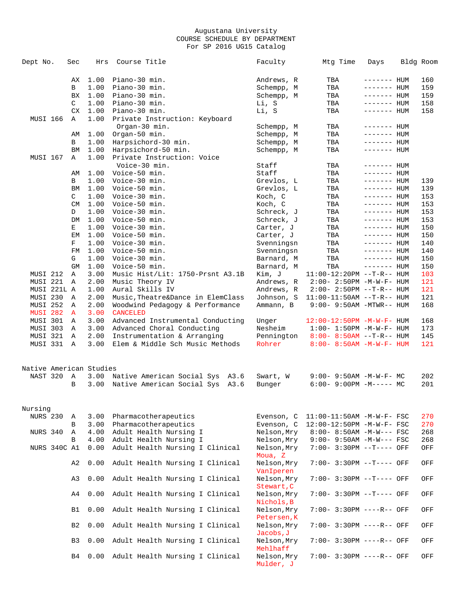| Dept No.                | Sec            | Hrs     | Course Title                      | Faculty                    | Mtg Time                            | Days        | Bldg Room |
|-------------------------|----------------|---------|-----------------------------------|----------------------------|-------------------------------------|-------------|-----------|
|                         | AX             | 1.00    | Piano-30 min.                     | Andrews, R                 | TBA                                 | ------- HUM | 160       |
|                         | В              | 1.00    | Piano-30 min.                     | Schempp, M                 | TBA                                 | ------- HUM | 159       |
|                         | BX             | 1.00    | Piano-30 min.                     | Schempp, M                 | TBA                                 | ------- HUM | 159       |
|                         | C              | 1.00    | Piano-30 min.                     | Li, S                      | TBA                                 | ------- HUM | 158       |
|                         |                | CX 1.00 | Piano-30 min.                     | Li, S                      | TBA                                 | ------- HUM | 158       |
| MUSI 166                | Α              | 1.00    | Private Instruction: Keyboard     |                            |                                     |             |           |
|                         |                |         | Organ-30 min.                     | Schempp, M                 | TBA                                 | ------- HUM |           |
|                         | AM             | 1.00    | Organ-50 min.                     | Schempp, M                 | TBA                                 | ------- HUM |           |
|                         | В              | 1.00    | Harpsichord-30 min.               | Schempp, M                 | TBA                                 | ------- HUM |           |
|                         | BM             | 1.00    | Harpsichord-50 min.               | Schempp, M                 | TBA                                 | ------- HUM |           |
| MUSI 167                | Α              | 1.00    | Private Instruction: Voice        |                            |                                     |             |           |
|                         |                |         | Voice-30 min.                     | Staff                      | TBA                                 | ------- HUM |           |
|                         | AM             | 1.00    | Voice-50 min.                     | Staff                      | TBA                                 | ------- HUM |           |
|                         | B              | 1.00    | Voice-30 min.                     | Grevlos, L                 | TBA                                 | ------- HUM | 139       |
|                         | BM             | 1.00    | Voice-50 min.                     | Grevlos, L                 | TBA                                 | ------- HUM | 139       |
|                         | C              | 1.00    | Voice-30 min.                     | Koch, C                    | TBA                                 | ------- HUM | 153       |
|                         | CM.            | 1.00    | Voice-50 min.                     | Koch, C                    | TBA                                 | ------- HUM | 153       |
|                         | D              | 1.00    | Voice-30 min.                     | Schreck, J                 | TBA                                 | ------- HUM | 153       |
|                         | DM             | 1.00    | Voice-50 min.                     | Schreck, J                 | TBA                                 | ------- HUM | 153       |
|                         | Е              | 1.00    | Voice-30 min.                     | Carter, J                  | TBA                                 | ------- HUM | 150       |
|                         | EM             | 1.00    | Voice-50 min.                     | Carter, J                  | TBA                                 | ------- HUM | 150       |
|                         | F              | 1.00    | Voice-30 min.                     | Svenningsn                 | TBA                                 | ------- HUM | 140       |
|                         | FM             | 1.00    | Voice-50 min.                     | Svenningsn                 | TBA                                 | ------- HUM | 140       |
|                         | G              | 1.00    | Voice-30 min.                     | Barnard, M                 | TBA                                 | ------- HUM | 150       |
|                         | <b>GM</b>      | 1.00    | Voice-50 min.                     | Barnard, M                 | TBA                                 | ------- HUM | 150       |
| MUSI 212                | Α              | 3.00    | Music Hist/Lit: 1750-Prsnt A3.1B  | Kim, J                     | $11:00-12:20PM$ --T-R-- HUM         |             | 103       |
| MUSI 221                | Α              | 2.00    | Music Theory IV                   | Andrews, R                 | $2:00 - 2:50PM -M-W-F - HUM$        |             | 121       |
| MUSI 221L A             |                | 1.00    | Aural Skills IV                   | Andrews, R                 | $2:00 - 2:50PM -T-R--HUM$           |             | 121       |
| MUSI 230                | Α              | 2.00    | Music, Theatre&Dance in ElemClass | Johnson, S                 | $11:00-11:50AM$ --T-R-- HUM         |             | 121       |
| MUSI 252                | Α              | 2.00    | Woodwind Pedagogy & Performance   | Ammann, B                  | $9:00 - 9:50AM - MTWR - - HUM$      |             | 168       |
| <b>MUSI 282</b>         | A              | 3.00    | <b>CANCELED</b>                   |                            |                                     |             |           |
| MUSI 301                | Α              | 3.00    | Advanced Instrumental Conducting  | Unger                      | $12:00 - 12:50PM - M - W - F - HUM$ |             | 168       |
| MUSI 303                | Α              | 3.00    | Advanced Choral Conducting        | Nesheim                    | $1:00 - 1:50PM - M - W - F - HUM$   |             | 173       |
| MUSI 321                | Α              | 2.00    | Instrumentation & Arranging       | Pennington                 | $8:00 - 8:50AM -T-R-- HUM$          |             | 145       |
| MUSI 331                | Α              | 3.00    | Elem & Middle Sch Music Methods   | Rohrer                     | $8:00 - 8:50AM - M - W - F - HUM$   |             | 121       |
| Native American Studies |                |         |                                   |                            |                                     |             |           |
| NAST 320                | Α              | 3.00    | Native American Social Sys A3.6   | Swart, W                   | $9:00 - 9:50AM - M - W - F - MC$    |             | 202       |
|                         | B              | 3.00    | Native American Social Sys A3.6   | Bunger                     | $6:00-9:00PM -M--- MC$              |             | 201       |
| Nursing                 |                |         |                                   |                            |                                     |             |           |
| NURS 230                | Α              | 3.00    | Pharmacotherapeutics              | Evenson, C                 | $11:00-11:50AM$ -M-W-F- FSC         |             | 270       |
|                         | В              | 3.00    | Pharmacotherapeutics              | Evenson, C                 | 12:00-12:50PM -M-W-F- FSC           |             | 270       |
| NURS 340                | Α              | 4.00    | Adult Health Nursing I            | Nelson, Mry                | $8:00 - 8:50AM$ -M-W--- FSC         |             | 268       |
|                         | В              | 4.00    | Adult Health Nursing I            | Nelson, Mry                | $9:00 - 9:50AM - M-W--- FSC$        |             | 268       |
| NURS 340C A1            |                | 0.00    | Adult Health Nursing I Clinical   | Nelson, Mry<br>Moua, Z     | 7:00- 3:30PM --T---- OFF            |             | OFF       |
|                         | A2             | 0.00    | Adult Health Nursing I Clinical   | Nelson, Mry<br>VanIperen   | 7:00- 3:30PM --T---- OFF            |             | OFF       |
|                         | A3             | 0.00    | Adult Health Nursing I Clinical   | Nelson, Mry<br>Stewart, C  | 7:00- 3:30PM --T---- OFF            |             | OFF       |
|                         | A4             | 0.00    | Adult Health Nursing I Clinical   | Nelson, Mry<br>Nichols, B  | 7:00- 3:30PM --T---- OFF            |             | OFF       |
|                         | B1             | 0.00    | Adult Health Nursing I Clinical   | Nelson, Mry<br>Petersen, K | 7:00- 3:30PM ----R-- OFF            |             | OFF       |
|                         | B <sub>2</sub> | 0.00    | Adult Health Nursing I Clinical   | Nelson, Mry<br>Jacobs, J   | 7:00- 3:30PM ----R-- OFF            |             | OFF       |
|                         | B3             | 0.00    | Adult Health Nursing I Clinical   | Nelson, Mry<br>Mehlhaff    | 7:00- 3:30PM ----R-- OFF            |             | OFF       |
|                         | B4             | 0.00    | Adult Health Nursing I Clinical   | Nelson, Mry<br>Mulder, J   | 7:00- 3:30PM ----R-- OFF            |             | OFF       |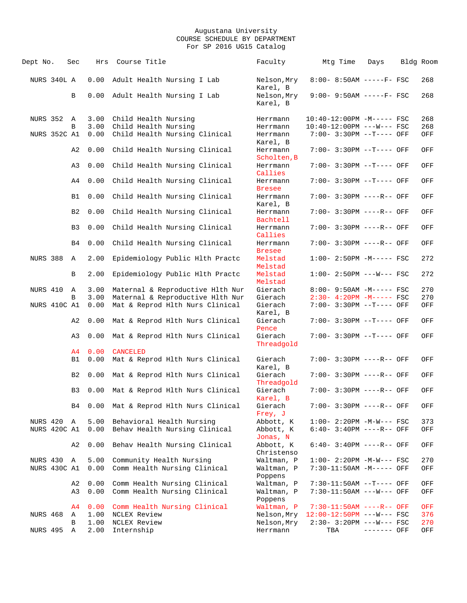| Dept No.                   | Sec                              | Hrs          | Course Title                                                            | Faculty                             | Mtg Time                                                 | Days        | Bldg Room  |
|----------------------------|----------------------------------|--------------|-------------------------------------------------------------------------|-------------------------------------|----------------------------------------------------------|-------------|------------|
| NURS 340L A                |                                  | 0.00         | Adult Health Nursing I Lab                                              | Nelson, Mry<br>Karel, B             | 8:00- 8:50AM -----F- FSC                                 |             | 268        |
|                            | В                                | 0.00         | Adult Health Nursing I Lab                                              | Nelson, Mry<br>Karel, B             | $9:00 - 9:50AM$ -----F- FSC                              |             | 268        |
| NURS 352 A                 |                                  | 3.00         | Child Health Nursing                                                    | Herrmann                            | 10:40-12:00PM -M----- FSC                                |             | 268        |
|                            | B                                | 3.00         | Child Health Nursing                                                    | Herrmann                            | 10:40-12:00PM ---W--- FSC                                |             | 268        |
| NURS 352C A1               |                                  | 0.00         | Child Health Nursing Clinical                                           | Herrmann<br>Karel, B                | 7:00- 3:30PM --T---- OFF                                 |             | OFF        |
|                            | A2                               | 0.00         | Child Health Nursing Clinical                                           | Herrmann<br>Scholten, B             | 7:00- 3:30PM --T---- OFF                                 |             | OFF        |
|                            | A3                               | 0.00         | Child Health Nursing Clinical                                           | Herrmann<br>Callies                 | 7:00- 3:30PM --T---- OFF                                 |             | OFF        |
|                            | A4                               | 0.00         | Child Health Nursing Clinical                                           | Herrmann<br><b>Bresee</b>           | 7:00- 3:30PM --T---- OFF                                 |             | OFF        |
|                            | <b>B1</b>                        | 0.00         | Child Health Nursing Clinical                                           | Herrmann<br>Karel, B                | 7:00- 3:30PM ----R-- OFF                                 |             | OFF        |
|                            | B <sub>2</sub><br>B <sub>3</sub> | 0.00<br>0.00 | Child Health Nursing Clinical<br>Child Health Nursing Clinical          | Herrmann<br>Bachtell<br>Herrmann    | 7:00- 3:30PM ----R-- OFF<br>7:00- 3:30PM ----R-- OFF     |             | OFF<br>OFF |
|                            | B4                               | 0.00         | Child Health Nursing Clinical                                           | Callies<br>Herrmann                 | $7:00 - 3:30PM$ ----R-- OFF                              |             | OFF        |
| NURS 388                   | A                                | 2.00         | Epidemiology Public Hlth Practc                                         | <b>Bresee</b><br>Melstad            | $1:00-2:50PM -M---FSC$                                   |             | 272        |
|                            | B                                | 2.00         | Epidemiology Public Hlth Practc                                         | Melstad<br>Melstad                  | $1:00 - 2:50PM$ ---W--- FSC                              |             | 272        |
|                            |                                  |              |                                                                         | Melstad                             |                                                          |             |            |
| NURS 410                   | Α                                | 3.00         | Maternal & Reproductive Hlth Nur                                        | Gierach                             | 8:00- 9:50AM -M----- FSC                                 |             | 270        |
|                            | B                                | 3.00         | Maternal & Reproductive Hlth Nur                                        | Gierach                             | $2:30-4:20PM -M----- FSC$                                |             | 270        |
| NURS 410C A1               |                                  | 0.00         | Mat & Reprod Hlth Nurs Clinical                                         | Gierach<br>Karel, B                 | 7:00- 3:30PM --T---- OFF                                 |             | OFF        |
|                            | A2<br>A3                         | 0.00         | Mat & Reprod Hlth Nurs Clinical<br>0.00 Mat & Reprod Hlth Nurs Clinical | Gierach<br>Pence<br>Gierach         | 7:00- 3:30PM --T---- OFF<br>7:00- 3:30PM --T---- OFF     |             | OFF<br>OFF |
|                            | A4                               | 0.00         | <b>CANCELED</b>                                                         | Threadgold                          |                                                          |             |            |
|                            | B1                               | 0.00         | Mat & Reprod Hlth Nurs Clinical                                         | Gierach                             | 7:00- 3:30PM ----R-- OFF                                 |             | OFF        |
|                            | B <sub>2</sub>                   | 0.00         | Mat & Reprod Hlth Nurs Clinical                                         | Karel, B<br>Gierach                 | $7:00 - 3:30PM$ ----R-- OFF                              |             | OFF        |
|                            | B <sub>3</sub>                   | 0.00         | Mat & Reprod Hlth Nurs Clinical                                         | Threadgold<br>Gierach               | 7:00- 3:30PM ----R-- OFF                                 |             | OFF        |
|                            | B4                               |              | 0.00 Mat & Reprod Hlth Nurs Clinical                                    | Karel, B<br>Gierach                 | 7:00- 3:30PM ----R-- OFF                                 |             | OFF        |
|                            |                                  |              |                                                                         | Frey, J                             |                                                          |             |            |
| NURS 420 A<br>NURS 420C A1 |                                  | 5.00<br>0.00 | Behavioral Health Nursing<br>Behav Health Nursing Clinical              | Abbott, K<br>Abbott, K<br>Jonas, N  | $1:00 - 2:20PM -M-W--- FSC$<br>$6:40-3:40PM$ ----R-- OFF |             | 373<br>OFF |
|                            | A2                               | 0.00         | Behav Health Nursing Clinical                                           | Abbott, K<br>Christenso             | $6:40-3:40PM$ ----R-- OFF                                |             | OFF        |
| NURS 430 A<br>NURS 430C A1 |                                  | 5.00<br>0.00 | Community Health Nursing<br>Comm Health Nursing Clinical                | Waltman, P<br>Waltman, P<br>Poppens | $1:00 - 2:20PM -M-W--- FSC$<br>7:30-11:50AM -M----- OFF  |             | 270<br>OFF |
|                            | A2<br>A3                         | 0.00<br>0.00 | Comm Health Nursing Clinical<br>Comm Health Nursing Clinical            | Waltman, P<br>Waltman, P<br>Poppens | 7:30-11:50AM --T---- OFF<br>7:30-11:50AM ---W--- OFF     |             | OFF<br>OFF |
|                            | A4                               | 0.00         | Comm Health Nursing Clinical                                            | Waltman, P                          | $7:30-11:50AM$ ----R-- OFF                               |             | OFF        |
| NURS 468                   | Α                                | 1.00         | NCLEX Review                                                            | Nelson, Mry                         | $12:00-12:50PM$ ---W--- FSC                              |             | 376        |
|                            | В                                | 1.00         | NCLEX Review                                                            | Nelson, Mry                         | $2:30 - 3:20PM$ ---W--- FSC                              |             | 270        |
| <b>NURS 495</b>            | Α                                | 2.00         | Internship                                                              | Herrmann                            | TBA                                                      | ------- OFF | OFF        |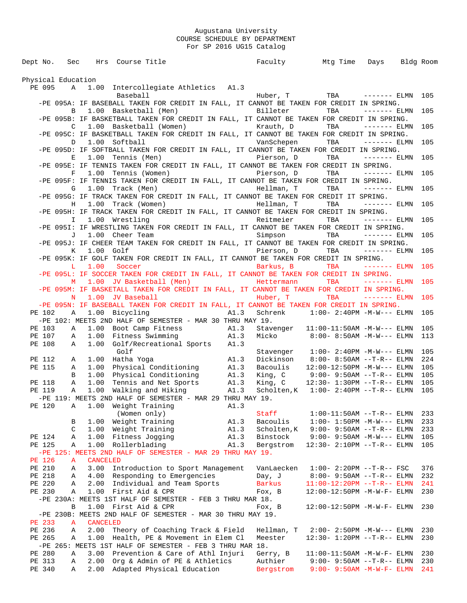Dept No. Sec Hrs Course Title Faculty Mtg Time Days Bldg Room Physical Education PE 095 A 1.00 Intercollegiate Athletics A1.3<br>Baseball Huber, T TBA ------- ELMN 105 -PE 095A: IF BASEBALL TAKEN FOR CREDIT IN FALL, IT CANNOT BE TAKEN FOR CREDIT IN SPRING.<br>B 1.00 Basketball (Men) Billeter TBA ------- ELM Billeter TBA ------- ELMN 105 -PE 095B: IF BASKETBALL TAKEN FOR CREDIT IN FALL, IT CANNOT BE TAKEN FOR CREDIT IN SPRING.<br>C 1.00 Basketball (Women) Krauth, D TBA ------- ELMN Krauth, D TBA ------- ELMN 105 -PE 095C: IF BASKETBALL TAKEN FOR CREDIT IN FALL, IT CANNOT BE TAKEN FOR CREDIT IN SPRING.<br>D 1.00 Softball vanSchepen TBA ------ ELMN VanSchepen TBA ------- ELMN 105 -PE 095D: IF SOFTBALL TAKEN FOR CREDIT IN FALL, IT CANNOT BE TAKEN FOR CREDIT IN SPRING.<br>E 1.00 Tennis (Men) Pierson, D TBA ------ E Pierson, D TBA ------- ELMN 105 -PE 095E: IF TENNIS TAKEN FOR CREDIT IN FALL, IT CANNOT BE TAKEN FOR CREDIT IN SPRING.<br>F 1.00 Tennis (Women) Pierson, D TBA ------Pierson, D TBA ------- ELMN 105 -PE 095F: IF TENNIS TAKEN FOR CREDIT IN FALL, IT CANNOT BE TAKEN FOR CREDIT IN SPRING.<br>G 1.00 Track (Men) Hellman, T TBA ------Hellman, T TBA ------- ELMN 105 -PE 095G: IF TRACK TAKEN FOR CREDIT IN FALL, IT CANNOT BE TAKEN FOR CREDIT IT SPRING.<br>H 1.00 Track (Women) Hellman, T TBA ------Hellman, T TBA ------- ELMN 105 -PE 095H: IF TRACK TAKEN FOR CREDIT IN FALL, IT CANNOT BE TAKEN FOR CREDIT IN SPRING.<br>I 1.00 Wrestling Reitmeier TBA ------Reitmeier TBA ------- ELMN 105 -PE 0951: IF WRESTLING TAKEN FOR CREDIT IN FALL, IT CANNOT BE TAKEN FOR CREDIT IN SPRING.<br>J 1.00 Cheer Team simpson Simpson TBA ------- ELMI Simpson TBA ------- ELMN 105 -PE 095J: IF CHEER TEAM TAKEN FOR CREDIT IN FALL, IT CANNOT BE TAKEN FOR CREDIT IN SPRING.<br>K 1.00 Golf sterson, D TBA ------- ELMN Pierson, D TBA ------- ELMN 105 -PE 095K: IF GOLF TAKEN FOR CREDIT IN FALL, IT CANNOT BE TAKEN FOR CREDIT IN SPRING.<br>L 1.00 Soccer Barkus, B TBA -----Barkus, B TBA ------- ELMN 105 -PE 095L: IF SOCCER TAKEN FOR CREDIT IN FALL, IT CANNOT BE TAKEN FOR CREDIT IN SPRING.<br>M 1.00 JV Basketball (Men) Hettermann TBA ------Hettermann TBA ------- ELMN 105 -PE 095M: IF BASKETALL TAKEN FOR CREDIT IN FALL, IT CANNOT BE TAKEN FOR CREDIT IN SPRING.<br>N 1.00 JV Baseball Huber, T TBA ------- ELMN N 1.00 JV Baseball Huber, T TBA ------- ELMN 105 -PE 095N: IF BASEBALL TAKEN FOR CREDIT IN FALL, IT CANNOT BE TAKEN FOR CREDIT IN SPRING. PE 102 A 1.00 Bicycling A1.3 Schrenk 1:00- 2:40PM -M-W--- ELMN 105 -PE 102: MEETS 2ND HALF OF SEMESTER - MAR 30 THRU MAY 19. PE 103 A 1.00 Boot Camp Fitness A1.3 Stavenger 11:00-11:50AM -M-W--- ELMN 105 PE 107 A 1.00 Fitness Swimming A1.3 Micko 8:00- 8:50AM -M-W--- ELMN 113 PE 108 A 1.00 Golf/Recreational Sports A1.3 Golf Stavenger 1:00- 2:40PM -M-W--- ELMN 105 PE 112 A 1.00 Hatha Yoga A1.3 Dickinson 8:00- 8:50AM --T-R-- ELMN 224 PE 115 A 1.00 Physical Conditioning A1.3 Bacoulis 12:00-12:50PM -M-W--- ELMN 105 B 1.00 Physical Conditioning A1.3 King, C 9:00- 9:50AM --T-R-- ELMN 105 PE 118 A 1.00 Tennis and Net Sports A1.3 King, C 12:30- 1:30PM --T-R-- ELMN 105 PE 119 A 1.00 Walking and Hiking A1.3 Scholten,K 1:00- 2:40PM --T-R-- ELMN 105 -PE 119: MEETS 2ND HALF OF SEMESTER - MAR 29 THRU MAY 19. PE 120 A 1.00 Weight Training A1.3<br>(Women only) (Women only) Staff 1:00-11:50AM --T-R-- ELMN 233 B 1.00 Weight Training A1.3 Bacoulis 1:00- 1:50PM -M-W--- ELMN 233 C 1.00 Weight Training A1.3 Scholten,K 9:00- 9:50AM --T-R-- ELMN 233 C 1.00 Weight Training<br>PE 124 A 1.00 Fitness Jogging Mal.3 Binstock 9:00-9:50AM --T-R-- ELMN 105<br>PE 125 A 1.00 Rollerblading Mal.3 Bergstrom 12:30-2:10PM --T-R-- ELMN 105 A1.3 Bergstrom 12:30- 2:10PM --T-R-- ELMN 105 -PE 125: MEETS 2ND HALF OF SEMESTER - MAR 29 THRU MAY 19. PE 126 A CANCELED<br>PE 210 A 3.00 Int PE 210 A 3.00 Introduction to Sport Management VanLaecken 1:00-2:20PM --T-R-- FSC 376<br>PE 218 A 4.00 Responding to Emergencies Day, J 8:00-9:50AM --T-R-- ELMN 232 PE 218 A 4.00 Responding to Emergencies Day, J 8:00- 9:50AM --T-R-- ELMN 232 PE 220 A 2.00 Individual and Team Sports Barkus 11:00-12:20PM --T-R-- ELMN 241 PE 220 A 2.00 Individual and Team Sports<br>
PE 230 A 1.00 First Aid & CPR Fox, B 12:00-12:50PM -M-W-F- ELMN 230 -PE 230A: MEETS 1ST HALF OF SEMESTER - FEB 3 THRU MAR 18.<br>B 1.00 First Aid & CPR Fox, B 12:00-12:50PM -M-W-F- ELMN 230 -PE 230B: MEETS 2ND HALF OF SEMESTER - MAR 30 THRU MAY 19.<br>PE 233 A CANCELED PE 233 A CANCELED<br>PE 236 A 2.00 The PE 236 A 2.00 Theory of Coaching Track & Field Hellman, T 2:00- 2:50PM -M-W--- ELMN 230 PE 265 A 1.00 Health, PE & Movement in Elem Cl Meester 12:30- 1:20PM --T-R-- ELMN 230 -PE 265: MEETS 1ST HALF OF SEMESTER - FEB 3 THRU MAR 18. PE 280 A 3.00 Prevention & Care of Athl Injuri Gerry, B 11:00-11:50AM -M-W-F- ELMN 230 PE 313 A 2.00 Org & Admin of PE & Athletics Authier 9:00- 9:50AM --T-R-- ELMN 230 PE 340 A 2.00 Adapted Physical Education Bergstrom 9:00- 9:50AM -M-W-F- ELMN 241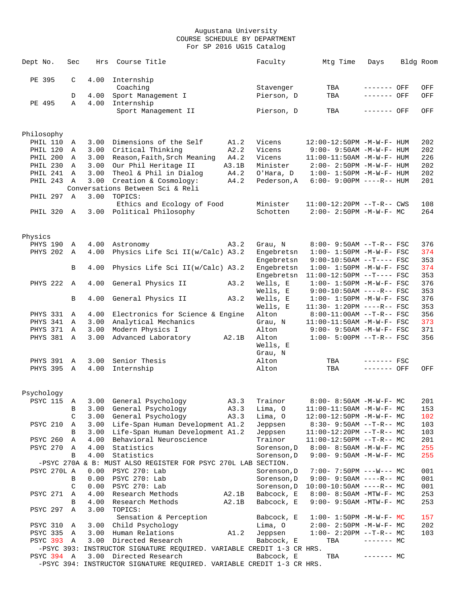| Dept No.   |                      | Sec          | Hrs          | Course Title                                                          |       | Faculty             | Mtg Time                                              | Days         | Bldg Room  |
|------------|----------------------|--------------|--------------|-----------------------------------------------------------------------|-------|---------------------|-------------------------------------------------------|--------------|------------|
| PE 395     |                      | C            | 4.00         | Internship                                                            |       |                     |                                                       |              |            |
|            |                      |              |              | Coaching                                                              |       | Stavenger           | TBA                                                   | $------$ OFF | OFF        |
|            |                      | D            | 4.00         | Sport Management I                                                    |       | Pierson, D          | TBA                                                   | ------- OFF  | OFF        |
| PE 495     |                      | $\mathbb{A}$ | 4.00         | Internship                                                            |       |                     |                                                       |              |            |
|            |                      |              |              | Sport Management II                                                   |       | Pierson, D          | TBA                                                   | ------- OFF  | OFF        |
| Philosophy |                      |              |              |                                                                       |       |                     |                                                       |              |            |
|            | PHIL 110             | Α            | 3.00         | Dimensions of the Self                                                | A1.2  | Vicens              | 12:00-12:50PM -M-W-F- HUM                             |              | 202        |
|            | <b>PHIL 120</b>      | Α            | 3.00         | Critical Thinking                                                     | A2.2  | Vicens              | $9:00 - 9:50AM - M - W - F - HUM$                     |              | 202        |
|            | PHIL 200             | Α            | 3.00         | Reason, Faith, Srch Meaning                                           | A4.2  | Vicens              | $11:00-11:50AM$ -M-W-F- HUM                           |              | 226        |
|            | PHIL 230             | Α            | 3.00         | Our Phil Heritage II                                                  | A3.1B | Minister            | 2:00- 2:50PM -M-W-F- HUM                              |              | 202        |
|            | PHIL 241             | Α            | 3.00         | Theol & Phil in Dialog                                                | A4.2  | O'Hara, D           | $1:00 - 1:50PM -M-W-F - HUM$                          |              | 202        |
|            | PHIL 243             | Α            | 3.00         | Creation & Cosmology:                                                 | A4.2  | Pederson, A         | $6:00 - 9:00PM$ ----R-- HUM                           |              | 201        |
|            |                      |              |              | Conversations Between Sci & Reli                                      |       |                     |                                                       |              |            |
|            | PHIL 297             | $\mathbf{A}$ | 3.00         | TOPICS:                                                               |       |                     |                                                       |              |            |
|            |                      |              |              | Ethics and Ecology of Food                                            |       | Minister            | 11:00-12:20PM --T-R-- CWS                             |              | 108<br>264 |
|            | PHIL 320 A           |              |              | 3.00 Political Philosophy                                             |       | Schotten            | $2:00-2:50PM -M-W-F-MC$                               |              |            |
| Physics    |                      |              |              |                                                                       |       |                     |                                                       |              |            |
|            | PHYS 190             | Α            | 4.00         | Astronomy                                                             | A3.2  | Grau, N             | 8:00- 9:50AM --T-R-- FSC                              |              | 376        |
|            | PHYS 202             | Α            | 4.00         | Physics Life Sci II(w/Calc) A3.2                                      |       | Engebretsn          | $1:00 - 1:50PM - M - W - F - FSC$                     |              | 374        |
|            |                      |              |              |                                                                       |       | Engebretsn          | $9:00-10:50AM$ --T---- FSC                            |              | 353        |
|            |                      | B            | 4.00         | Physics Life Sci II(w/Calc) A3.2                                      |       | Engebretsn          | $1:00 - 1:50PM - M - W - F - FSC$                     |              | 374        |
|            |                      |              |              |                                                                       |       | Engebretsn          | 11:00-12:50PM --T---- FSC                             |              | 353        |
|            | <b>PHYS 222</b>      | A            | 4.00         | General Physics II                                                    | A3.2  | Wells, E            | $1:00 - 1:50PM - M - W - F - FSC$                     |              | 376        |
|            |                      |              |              |                                                                       |       | Wells, E            | $9:00-10:50AM$ ----R-- FSC                            |              | 353        |
|            |                      | B            | 4.00         | General Physics II                                                    | A3.2  | Wells, E            | $1:00 - 1:50PM - M - W - F - FSC$                     |              | 376        |
|            |                      |              |              |                                                                       |       | Wells, E<br>Alton   | $11:30 - 1:20PM$ ----R-- FSC                          |              | 353<br>356 |
|            | PHYS 331<br>PHYS 341 | Α<br>Α       | 4.00<br>3.00 | Electronics for Science & Engine<br>Analytical Mechanics              |       | Grau, N             | 8:00-11:00AM --T-R-- FSC<br>11:00-11:50AM -M-W-F- FSC |              | 373        |
|            | PHYS 371             | Α            | 3.00         | Modern Physics I                                                      |       | Alton               | 9:00- 9:50AM -M-W-F- FSC                              |              | 371        |
|            | PHYS 381             | Α            | 3.00         | Advanced Laboratory                                                   | A2.1B | Alton               | $1:00 - 5:00PM -T-R--FSC$                             |              | 356        |
|            |                      |              |              |                                                                       |       | Wells, E<br>Grau, N |                                                       |              |            |
|            | PHYS 391             | Α            | 3.00         | Senior Thesis                                                         |       | Alton               | TBA                                                   | $------$ FSC |            |
|            | PHYS 395 A           |              | 4.00         | Internship                                                            |       | Alton               | TBA                                                   | $-----$ OFF  | OFF        |
|            |                      |              |              |                                                                       |       |                     |                                                       |              |            |
| Psychology | PSYC 115 A           |              |              | 3.00 General Psychology                                               | A3.3  | Trainor             | $8:00-8:50AM -M-W-F-MC$                               |              | 201        |
|            |                      | B            | 3.00         | General Psychology                                                    | A3.3  | Lima, O             | $11:00-11:50AM$ -M-W-F- MC                            |              | 153        |
|            |                      | C            | 3.00         | General Psychology                                                    | A3.3  | Lima, O             | 12:00-12:50PM -M-W-F- MC                              |              | 102        |
|            | <b>PSYC 210</b>      | A            | 3.00         | Life-Span Human Development A1.2                                      |       | Jeppsen             | $8:30 - 9:50AM -T-R--MC$                              |              | 103        |
|            |                      | B            | 3.00         | Life-Span Human Development A1.2                                      |       | Jeppsen             | $11:00-12:20PM -T-R-- MC$                             |              | 103        |
|            | <b>PSYC 260</b>      | Α            | 4.00         | Behavioral Neuroscience                                               |       | Trainor             | $11:00-12:50PM$ --T-R-- MC                            |              | 201        |
|            | <b>PSYC 270</b>      | Α            | 4.00         | Statistics                                                            |       | Sorenson, D         | 8:00- 8:50AM -M-W-F- MC                               |              | 255        |
|            |                      | В            | 4.00         | Statistics                                                            |       | Sorenson, D         | $9:00 - 9:50AM - M - W - F - MC$                      |              | 255        |
|            |                      |              |              | -PSYC 270A & B: MUST ALSO REGISTER FOR PSYC 270L LAB SECTION.         |       |                     |                                                       |              |            |
|            | PSYC 270L A          |              | 0.00         | PSYC 270: Lab                                                         |       | Sorenson, D         | $7:00 - 7:50PM$ ---W--- MC                            |              | 001        |
|            |                      | В            | 0.00         | PSYC 270: Lab                                                         |       | Sorenson, D         | $9:00 - 9:50AM$ ----R-- MC                            |              | 001        |
|            |                      | C            | 0.00         | PSYC 270: Lab                                                         |       | Sorenson, D         | $10:00-10:50AM$ ----R-- MC                            |              | 001        |
|            | <b>PSYC 271</b>      | Α            | 4.00         | Research Methods                                                      | A2.1B | Babcock, E          | $8:00 - 8:50AM - MTW - F - MC$                        |              | 253        |
|            | PSYC 297             | В<br>Α       | 4.00<br>3.00 | Research Methods<br>TOPICS:                                           | A2.1B | Babcock, E          | $9:00 - 9:50AM - MTW-F - MC$                          |              | 253        |
|            |                      |              |              | Sensation & Perception                                                |       | Babcock, E          | $1:00 - 1:50PM - M - W - F - MC$                      |              | 157        |
|            | PSYC 310             | A            | 3.00         | Child Psychology                                                      |       | Lima, O             | $2:00-2:50PM -M-W-F-MC$                               |              | 202        |
|            | PSYC 335             | A            | 3.00         | Human Relations                                                       | A1.2  | Jeppsen             | $1:00-2:20PM -T-R--MC$                                |              | 103        |
|            | PSYC 393 A           |              | 3.00         | Directed Research                                                     |       | Babcock, E          | TBA                                                   | $------MC$   |            |
|            |                      |              |              | -PSYC 393: INSTRUCTOR SIGNATURE REQUIRED. VARIABLE CREDIT 1-3 CR HRS. |       |                     |                                                       |              |            |
|            | PSYC 394 A           |              | 3.00         | Directed Research                                                     |       | Babcock, E          | TBA                                                   | ------- MC   |            |
|            |                      |              |              | -PSYC 394: INSTRUCTOR SIGNATURE REQUIRED. VARIABLE CREDIT 1-3 CR HRS. |       |                     |                                                       |              |            |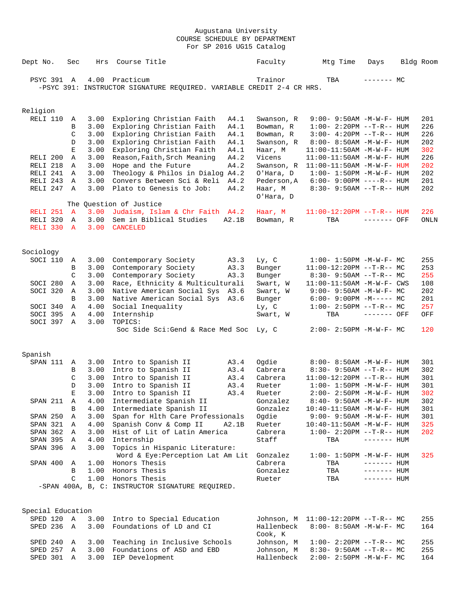| Dept No.            | Sec          | Hrs          | Course Title                                                          | Faculty            | Mtg Time                                                         | Days         | Bldg Room  |
|---------------------|--------------|--------------|-----------------------------------------------------------------------|--------------------|------------------------------------------------------------------|--------------|------------|
| PSYC 391            | Α            | 4.00         | Practicum                                                             | Trainor            | TBA                                                              | ------- MC   |            |
|                     |              |              | -PSYC 391: INSTRUCTOR SIGNATURE REQUIRED. VARIABLE CREDIT 2-4 CR HRS. |                    |                                                                  |              |            |
| Religion            |              |              |                                                                       |                    |                                                                  |              |            |
| RELI 110            | A            | 3.00         | Exploring Christian Faith<br>A4.1                                     | Swanson, R         | $9:00 - 9:50AM - M - W - F - HUM$                                |              | 201        |
|                     | B            | 3.00         | Exploring Christian Faith<br>A4.1                                     | Bowman, R          | $1:00-2:20PM --T-R--HUM$                                         |              | 226        |
|                     | C            | 3.00         | Exploring Christian Faith<br>A4.1                                     | Bowman, R          | $3:00 - 4:20PM -T-R-- HUM$                                       |              | 226        |
|                     | D            | 3.00         | Exploring Christian Faith<br>A4.1                                     | Swanson, R         | 8:00- 8:50AM -M-W-F- HUM                                         |              | 202        |
|                     | Ε            | 3.00         | Exploring Christian Faith<br>A4.1                                     | Haar, M            | $11:00-11:50AM$ -M-W-F- HUM                                      |              | 302        |
| RELI 200            | Α            | 3.00         | A4.2<br>Reason, Faith, Srch Meaning                                   | Vicens             | $11:00-11:50AM$ -M-W-F- HUM                                      |              | 226        |
| RELI 218            | Α            | 3.00         | Hope and the Future<br>A4.2                                           | Swanson, R         | $11:00-11:50AM$ -M-W-F- HUM                                      |              | 202        |
| RELI 241            | Α            | 3.00         | Theology & Philos in Dialog A4.2                                      | O'Hara, D          | $1:00 - 1:50PM - M - W - F - HUM$                                |              | 202        |
| RELI <sub>243</sub> | Α            | 3.00         | Convers Between Sci & Reli<br>A4.2                                    | Pederson, A        | $6:00 - 9:00PM$ ----R-- HUM                                      |              | 201        |
| RELI 247            | Α            | 3.00         | Plato to Genesis to Job:<br>A4.2                                      | Haar, M            | $8:30 - 9:50AM -T-R-- HUM$                                       |              | 202        |
|                     |              |              |                                                                       | O'Hara, D          |                                                                  |              |            |
|                     |              |              | The Question of Justice                                               |                    |                                                                  |              |            |
| RELI <sub>251</sub> | $\mathbf{A}$ | 3.00         | Judaism, Islam & Chr Faith A4.2                                       | Haar, M            | $11:00-12:20PM -T-R--HUM$                                        |              | 226        |
| RELI 320            | Α            | 3.00         | Sem in Biblical Studies<br>A2.1B                                      | Bowman, R          | TBA                                                              | ------- OFF  | ONLN       |
| RELI 330            | $\mathbf{A}$ | 3.00         | <b>CANCELED</b>                                                       |                    |                                                                  |              |            |
| Sociology           |              |              |                                                                       |                    |                                                                  |              |            |
| SOCI 110            | Α            | 3.00         | Contemporary Society<br>A3.3                                          | Ly, C              | $1:00 - 1:50PM - M - W - F - MC$                                 |              | 255        |
|                     | В            | 3.00         | Contemporary Society<br>A3.3                                          | Bunger             | $11:00-12:20PM$ --T-R-- MC                                       |              | 253        |
|                     | C            | 3.00         | Contemporary Society<br>A3.3                                          | Bunger             | $8:30 - 9:50AM -T-R-- MC$                                        |              | 255        |
| SOCI 280            | Α            | 3.00         | Race, Ethnicity & Multiculturali                                      | Swart, W           | $11:00-11:50AM$ -M-W-F- CWS                                      |              | 108        |
| SOCI 320            | Α            | 3.00         | Native American Social Sys<br>A3.6                                    | Swart, W           | $9:00 - 9:50AM - M-W-F - MC$                                     |              | 202        |
|                     | B            | 3.00         | Native American Social Sys<br>A3.6                                    | Bunger             | $6:00-9:00PM -M--- MC$                                           |              | 201        |
| SOCI 340            | Α            | 4.00         | Social Inequality                                                     | Ly, C              | $1:00-2:50PM -T-R--MC$                                           |              | 257        |
| SOCI 395            | Α            | 4.00         | Internship                                                            | Swart, W           | TBA                                                              | ------- OFF  | OFF        |
| SOCI 397            | A            | 3.00         | TOPICS:                                                               |                    |                                                                  |              |            |
|                     |              |              | Soc Side Sci:Gend & Race Med Soc                                      | Ly, C              | $2:00-2:50PM -M-W-F-MC$                                          |              | 120        |
|                     |              |              |                                                                       |                    |                                                                  |              |            |
| Spanish             |              |              |                                                                       |                    |                                                                  |              |            |
| SPAN 111            | Α            | 3.00         | Intro to Spanish II<br>A3.4                                           | Ogdie              | $8:00 - 8:50AM - M - W - F - HUM$                                |              | 301        |
|                     | В<br>C       | 3.00         | Intro to Spanish II<br>A3.4                                           | Cabrera<br>Cabrera | $8:30 - 9:50AM -T-R-- HUM$                                       |              | 302<br>301 |
|                     | D            | 3.00<br>3.00 | Intro to Spanish II<br>A3.4<br>Intro to Spanish II<br>A3.4            | Rueter             | $11:00-12:20PM$ --T-R-- HUM<br>$1:00 - 1:50PM - M - W - F - HUM$ |              | 301        |
|                     | E            | 3.00         | Intro to Spanish II<br>A3.4                                           | Rueter             | $2:00 - 2:50PM -M-W-F - HUM$                                     |              | 302        |
| SPAN 211            | Α            | 4.00         | Intermediate Spanish II                                               | Gonzalez           | 8:40- 9:50AM -M-W-F- HUM                                         |              | 302        |
|                     | В            | 4.00         | Intermediate Spanish II                                               | Gonzalez           | 10:40-11:50AM -M-W-F- HUM                                        |              | 301        |
| SPAN 250            | Α            | 3.00         | Span for Hlth Care Professionals                                      | Ogdie              | 9:00- 9:50AM -M-W-F- HUM                                         |              | 301        |
| SPAN 321            | Α            | 4.00         | Spanish Conv & Comp II<br>A2.1B                                       | Rueter             | $10:40 - 11:50$ AM $-M-W-F-$ HUM                                 |              | 325        |
| SPAN 362            | Α            | 3.00         | Hist of Lit of Latin America                                          | Cabrera            | $1:00 - 2:20PM -T-R--HUM$                                        |              | 202        |
| SPAN 395            | A            | 4.00         | Internship                                                            | Staff              | TBA                                                              | $------$ HUM |            |
| SPAN 396            | A            | 3.00         | Topics in Hispanic Literature:                                        |                    |                                                                  |              |            |
|                     |              |              | Word & Eye: Perception Lat Am Lit                                     | Gonzalez           | $1:00 - 1:50PM -M-W-F - HUM$                                     |              | 325        |
| SPAN 400            | Α            | 1.00         | Honors Thesis                                                         | Cabrera            | TBA                                                              | $------$ HUM |            |
|                     | B            |              | 1.00 Honors Thesis                                                    | Gonzalez           | TBA                                                              | $------$ HUM |            |
|                     | C            | 1.00         | Honors Thesis                                                         | Rueter             | TBA                                                              | $------$ HUM |            |
|                     |              |              | -SPAN 400A, B, C: INSTRUCTOR SIGNATURE REQUIRED.                      |                    |                                                                  |              |            |
|                     |              |              |                                                                       |                    |                                                                  |              |            |
| Special Education   |              |              |                                                                       |                    |                                                                  |              |            |
| SPED 120 A          |              | 3.00         | Intro to Special Education                                            | Johnson, M         | $11:00-12:20PM$ --T-R-- MC                                       |              | 255        |
| SPED 236            | A            | 3.00         | Foundations of LD and CI                                              | Hallenbeck         | $8:00 - 8:50AM$ -M-W-F- MC                                       |              | 164        |
|                     |              |              |                                                                       | Cook, K            |                                                                  |              |            |
| SPED 240            | Α            | 3.00         | Teaching in Inclusive Schools                                         | Johnson, M         | $1:00-2:20PM --T-R--MC$                                          |              | 255        |
| SPED 257            | Α            | 3.00         | Foundations of ASD and EBD                                            | Johnson, M         | $8:30 - 9:50AM -T-R-- MC$                                        |              | 255        |
| SPED 301            | Α            | 3.00         | IEP Development                                                       | Hallenbeck         | 2:00- 2:50PM -M-W-F- MC                                          |              | 164        |